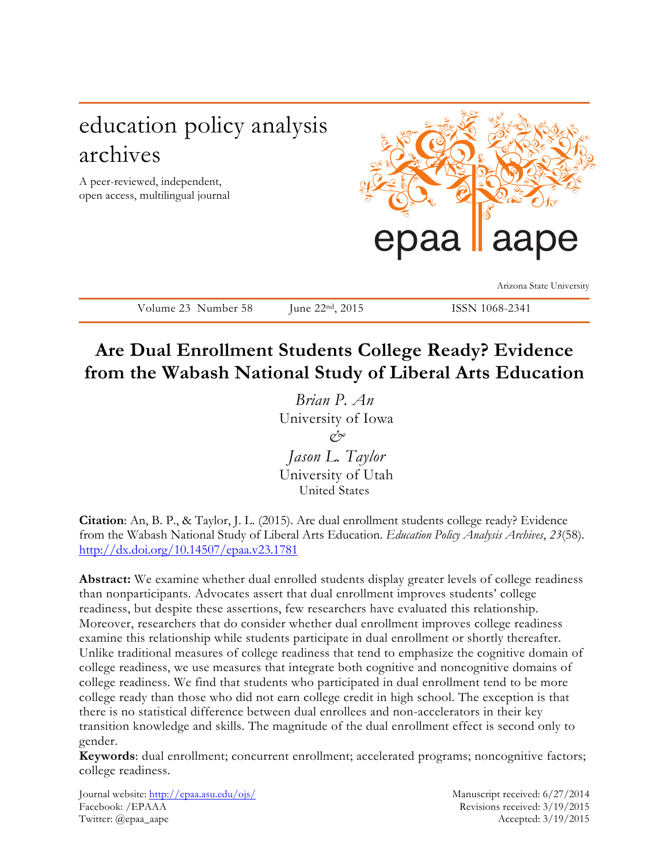# education policy analysis archives

A peer-reviewed, independent, open access, multilingual journal



Arizona State University

Volume 23 Number 58 June 22<sup>nd</sup>, 2015 ISSN 1068-2341

# **Are Dual Enrollment Students College Ready? Evidence from the Wabash National Study of Liberal Arts Education**

*Brian P. An*  University of Iowa *& Jason L. Taylor*  University of Utah United States

**Citation**: An, B. P., & Taylor, J. L. (2015). Are dual enrollment students college ready? Evidence from the Wabash National Study of Liberal Arts Education. *Education Policy Analysis Archives*, *23*(58). http://dx.doi.org/10.14507/epaa.v23.1781

Abstract: We examine whether dual enrolled students display greater levels of college readiness than nonparticipants. Advocates assert that dual enrollment improves students' college readiness, but despite these assertions, few researchers have evaluated this relationship. Moreover, researchers that do consider whether dual enrollment improves college readiness examine this relationship while students participate in dual enrollment or shortly thereafter. Unlike traditional measures of college readiness that tend to emphasize the cognitive domain of college readiness, we use measures that integrate both cognitive and noncognitive domains of college readiness. We find that students who participated in dual enrollment tend to be more college ready than those who did not earn college credit in high school. The exception is that there is no statistical difference between dual enrollees and non-accelerators in their key transition knowledge and skills. The magnitude of the dual enrollment effect is second only to gender.

**Keywords**: dual enrollment; concurrent enrollment; accelerated programs; noncognitive factors; college readiness.

Journal website: http://epaa.asu.edu/ojs/ Manuscript received: 6/27/2014 Facebook: /EPAAA Revisions received: 3/19/2015 Twitter: @epaa\_aape Accepted: 3/19/2015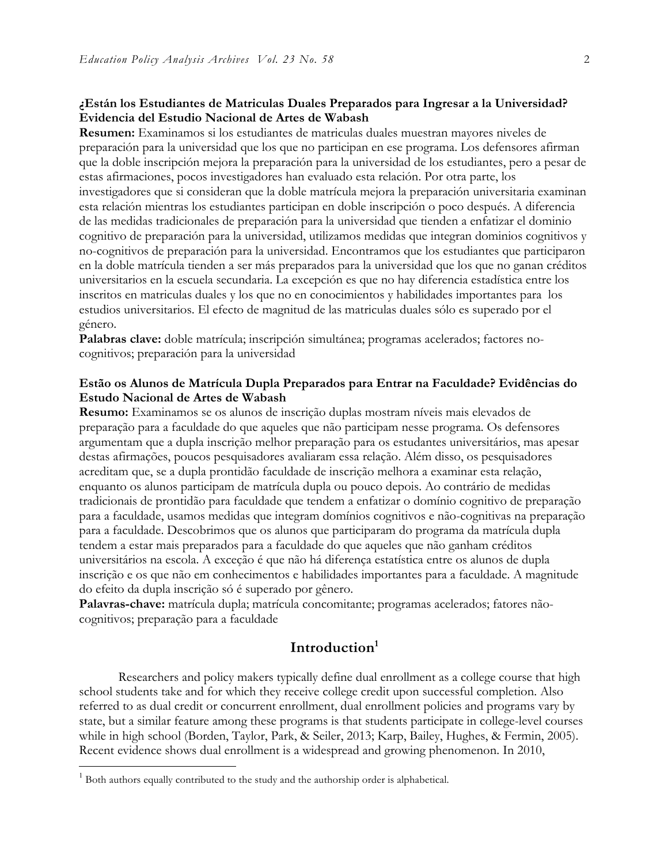# **¿Están los Estudiantes de Matriculas Duales Preparados para Ingresar a la Universidad? Evidencia del Estudio Nacional de Artes de Wabash**

**Resumen:** Examinamos si los estudiantes de matriculas duales muestran mayores niveles de preparación para la universidad que los que no participan en ese programa. Los defensores afirman que la doble inscripción mejora la preparación para la universidad de los estudiantes, pero a pesar de estas afirmaciones, pocos investigadores han evaluado esta relación. Por otra parte, los investigadores que si consideran que la doble matrícula mejora la preparación universitaria examinan esta relación mientras los estudiantes participan en doble inscripción o poco después. A diferencia de las medidas tradicionales de preparación para la universidad que tienden a enfatizar el dominio cognitivo de preparación para la universidad, utilizamos medidas que integran dominios cognitivos y no-cognitivos de preparación para la universidad. Encontramos que los estudiantes que participaron en la doble matrícula tienden a ser más preparados para la universidad que los que no ganan créditos universitarios en la escuela secundaria. La excepción es que no hay diferencia estadística entre los inscritos en matriculas duales y los que no en conocimientos y habilidades importantes para los estudios universitarios. El efecto de magnitud de las matriculas duales sólo es superado por el género.

**Palabras clave:** doble matrícula; inscripción simultánea; programas acelerados; factores nocognitivos; preparación para la universidad

# **Estão os Alunos de Matrícula Dupla Preparados para Entrar na Faculdade? Evidências do Estudo Nacional de Artes de Wabash**

**Resumo:** Examinamos se os alunos de inscrição duplas mostram níveis mais elevados de preparação para a faculdade do que aqueles que não participam nesse programa. Os defensores argumentam que a dupla inscrição melhor preparação para os estudantes universitários, mas apesar destas afirmações, poucos pesquisadores avaliaram essa relação. Além disso, os pesquisadores acreditam que, se a dupla prontidão faculdade de inscrição melhora a examinar esta relação, enquanto os alunos participam de matrícula dupla ou pouco depois. Ao contrário de medidas tradicionais de prontidão para faculdade que tendem a enfatizar o domínio cognitivo de preparação para a faculdade, usamos medidas que integram domínios cognitivos e não-cognitivas na preparação para a faculdade. Descobrimos que os alunos que participaram do programa da matrícula dupla tendem a estar mais preparados para a faculdade do que aqueles que não ganham créditos universitários na escola. A exceção é que não há diferença estatística entre os alunos de dupla inscrição e os que não em conhecimentos e habilidades importantes para a faculdade. A magnitude do efeito da dupla inscrição só é superado por gênero.

**Palavras-chave:** matrícula dupla; matrícula concomitante; programas acelerados; fatores nãocognitivos; preparação para a faculdade

# **Introduction1**

Researchers and policy makers typically define dual enrollment as a college course that high school students take and for which they receive college credit upon successful completion. Also referred to as dual credit or concurrent enrollment, dual enrollment policies and programs vary by state, but a similar feature among these programs is that students participate in college-level courses while in high school (Borden, Taylor, Park, & Seiler, 2013; Karp, Bailey, Hughes, & Fermin, 2005). Recent evidence shows dual enrollment is a widespread and growing phenomenon. In 2010,

<sup>&</sup>lt;sup>1</sup> Both authors equally contributed to the study and the authorship order is alphabetical.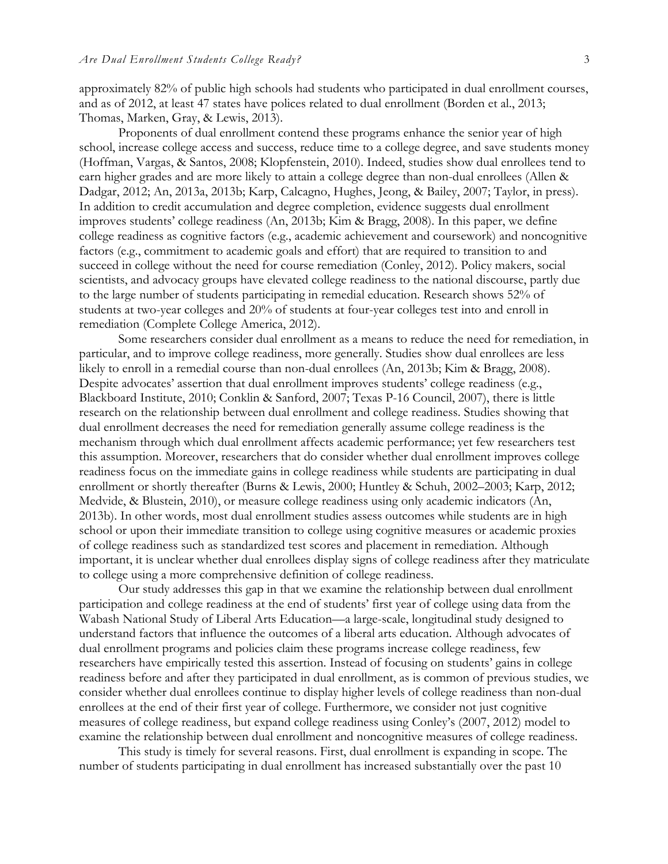approximately 82% of public high schools had students who participated in dual enrollment courses, and as of 2012, at least 47 states have polices related to dual enrollment (Borden et al., 2013; Thomas, Marken, Gray, & Lewis, 2013).

Proponents of dual enrollment contend these programs enhance the senior year of high school, increase college access and success, reduce time to a college degree, and save students money (Hoffman, Vargas, & Santos, 2008; Klopfenstein, 2010). Indeed, studies show dual enrollees tend to earn higher grades and are more likely to attain a college degree than non-dual enrollees (Allen & Dadgar, 2012; An, 2013a, 2013b; Karp, Calcagno, Hughes, Jeong, & Bailey, 2007; Taylor, in press). In addition to credit accumulation and degree completion, evidence suggests dual enrollment improves students' college readiness (An, 2013b; Kim & Bragg, 2008). In this paper, we define college readiness as cognitive factors (e.g., academic achievement and coursework) and noncognitive factors (e.g., commitment to academic goals and effort) that are required to transition to and succeed in college without the need for course remediation (Conley, 2012). Policy makers, social scientists, and advocacy groups have elevated college readiness to the national discourse, partly due to the large number of students participating in remedial education. Research shows 52% of students at two-year colleges and 20% of students at four-year colleges test into and enroll in remediation (Complete College America, 2012).

Some researchers consider dual enrollment as a means to reduce the need for remediation, in particular, and to improve college readiness, more generally. Studies show dual enrollees are less likely to enroll in a remedial course than non-dual enrollees (An, 2013b; Kim & Bragg, 2008). Despite advocates' assertion that dual enrollment improves students' college readiness (e.g., Blackboard Institute, 2010; Conklin & Sanford, 2007; Texas P-16 Council, 2007), there is little research on the relationship between dual enrollment and college readiness. Studies showing that dual enrollment decreases the need for remediation generally assume college readiness is the mechanism through which dual enrollment affects academic performance; yet few researchers test this assumption. Moreover, researchers that do consider whether dual enrollment improves college readiness focus on the immediate gains in college readiness while students are participating in dual enrollment or shortly thereafter (Burns & Lewis, 2000; Huntley & Schuh, 2002–2003; Karp, 2012; Medvide, & Blustein, 2010), or measure college readiness using only academic indicators (An, 2013b). In other words, most dual enrollment studies assess outcomes while students are in high school or upon their immediate transition to college using cognitive measures or academic proxies of college readiness such as standardized test scores and placement in remediation. Although important, it is unclear whether dual enrollees display signs of college readiness after they matriculate to college using a more comprehensive definition of college readiness.

Our study addresses this gap in that we examine the relationship between dual enrollment participation and college readiness at the end of students' first year of college using data from the Wabash National Study of Liberal Arts Education—a large-scale, longitudinal study designed to understand factors that influence the outcomes of a liberal arts education. Although advocates of dual enrollment programs and policies claim these programs increase college readiness, few researchers have empirically tested this assertion. Instead of focusing on students' gains in college readiness before and after they participated in dual enrollment, as is common of previous studies, we consider whether dual enrollees continue to display higher levels of college readiness than non-dual enrollees at the end of their first year of college. Furthermore, we consider not just cognitive measures of college readiness, but expand college readiness using Conley's (2007, 2012) model to examine the relationship between dual enrollment and noncognitive measures of college readiness.

This study is timely for several reasons. First, dual enrollment is expanding in scope. The number of students participating in dual enrollment has increased substantially over the past 10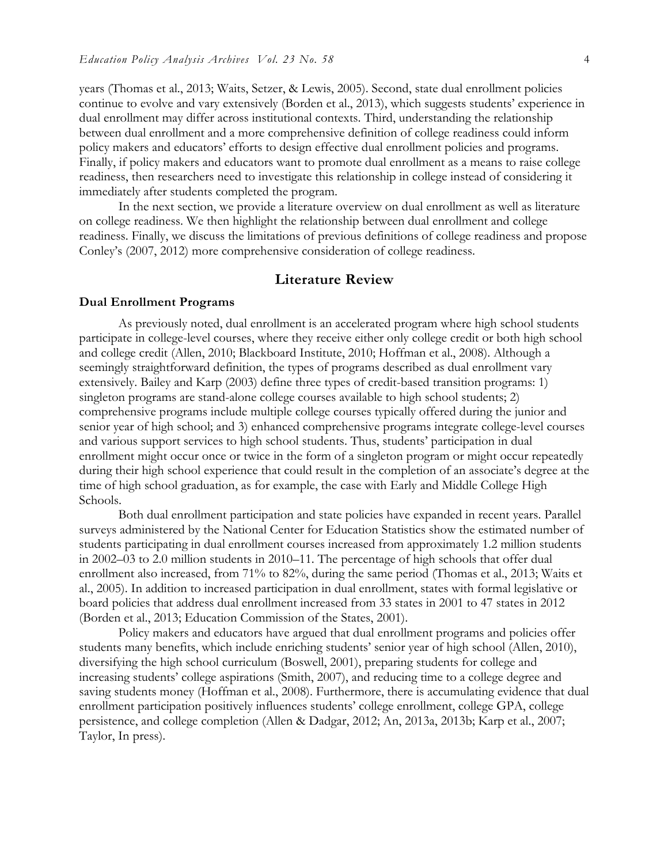years (Thomas et al., 2013; Waits, Setzer, & Lewis, 2005). Second, state dual enrollment policies continue to evolve and vary extensively (Borden et al., 2013), which suggests students' experience in dual enrollment may differ across institutional contexts. Third, understanding the relationship between dual enrollment and a more comprehensive definition of college readiness could inform policy makers and educators' efforts to design effective dual enrollment policies and programs. Finally, if policy makers and educators want to promote dual enrollment as a means to raise college readiness, then researchers need to investigate this relationship in college instead of considering it immediately after students completed the program.

In the next section, we provide a literature overview on dual enrollment as well as literature on college readiness. We then highlight the relationship between dual enrollment and college readiness. Finally, we discuss the limitations of previous definitions of college readiness and propose Conley's (2007, 2012) more comprehensive consideration of college readiness.

### **Literature Review**

#### **Dual Enrollment Programs**

As previously noted, dual enrollment is an accelerated program where high school students participate in college-level courses, where they receive either only college credit or both high school and college credit (Allen, 2010; Blackboard Institute, 2010; Hoffman et al., 2008). Although a seemingly straightforward definition, the types of programs described as dual enrollment vary extensively. Bailey and Karp (2003) define three types of credit-based transition programs: 1) singleton programs are stand-alone college courses available to high school students; 2) comprehensive programs include multiple college courses typically offered during the junior and senior year of high school; and 3) enhanced comprehensive programs integrate college-level courses and various support services to high school students. Thus, students' participation in dual enrollment might occur once or twice in the form of a singleton program or might occur repeatedly during their high school experience that could result in the completion of an associate's degree at the time of high school graduation, as for example, the case with Early and Middle College High Schools.

Both dual enrollment participation and state policies have expanded in recent years. Parallel surveys administered by the National Center for Education Statistics show the estimated number of students participating in dual enrollment courses increased from approximately 1.2 million students in 2002–03 to 2.0 million students in 2010–11. The percentage of high schools that offer dual enrollment also increased, from 71% to 82%, during the same period (Thomas et al., 2013; Waits et al., 2005). In addition to increased participation in dual enrollment, states with formal legislative or board policies that address dual enrollment increased from 33 states in 2001 to 47 states in 2012 (Borden et al., 2013; Education Commission of the States, 2001).

Policy makers and educators have argued that dual enrollment programs and policies offer students many benefits, which include enriching students' senior year of high school (Allen, 2010), diversifying the high school curriculum (Boswell, 2001), preparing students for college and increasing students' college aspirations (Smith, 2007), and reducing time to a college degree and saving students money (Hoffman et al., 2008). Furthermore, there is accumulating evidence that dual enrollment participation positively influences students' college enrollment, college GPA, college persistence, and college completion (Allen & Dadgar, 2012; An, 2013a, 2013b; Karp et al., 2007; Taylor, In press).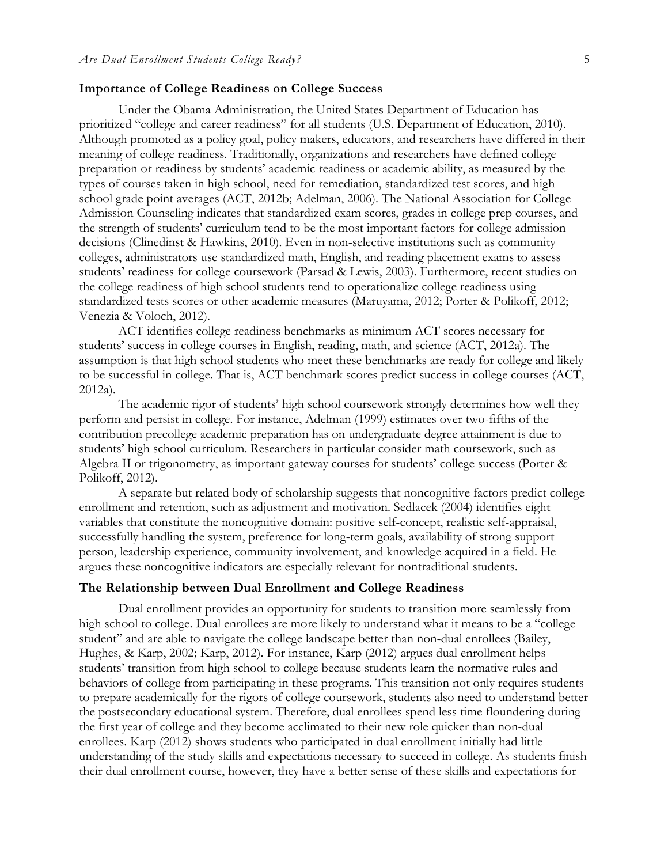#### **Importance of College Readiness on College Success**

Under the Obama Administration, the United States Department of Education has prioritized "college and career readiness" for all students (U.S. Department of Education, 2010). Although promoted as a policy goal, policy makers, educators, and researchers have differed in their meaning of college readiness. Traditionally, organizations and researchers have defined college preparation or readiness by students' academic readiness or academic ability, as measured by the types of courses taken in high school, need for remediation, standardized test scores, and high school grade point averages (ACT, 2012b; Adelman, 2006). The National Association for College Admission Counseling indicates that standardized exam scores, grades in college prep courses, and the strength of students' curriculum tend to be the most important factors for college admission decisions (Clinedinst & Hawkins, 2010). Even in non-selective institutions such as community colleges, administrators use standardized math, English, and reading placement exams to assess students' readiness for college coursework (Parsad & Lewis, 2003). Furthermore, recent studies on the college readiness of high school students tend to operationalize college readiness using standardized tests scores or other academic measures (Maruyama, 2012; Porter & Polikoff, 2012; Venezia & Voloch, 2012).

ACT identifies college readiness benchmarks as minimum ACT scores necessary for students' success in college courses in English, reading, math, and science (ACT, 2012a). The assumption is that high school students who meet these benchmarks are ready for college and likely to be successful in college. That is, ACT benchmark scores predict success in college courses (ACT, 2012a).

The academic rigor of students' high school coursework strongly determines how well they perform and persist in college. For instance, Adelman (1999) estimates over two-fifths of the contribution precollege academic preparation has on undergraduate degree attainment is due to students' high school curriculum. Researchers in particular consider math coursework, such as Algebra II or trigonometry, as important gateway courses for students' college success (Porter & Polikoff, 2012).

A separate but related body of scholarship suggests that noncognitive factors predict college enrollment and retention, such as adjustment and motivation. Sedlacek (2004) identifies eight variables that constitute the noncognitive domain: positive self-concept, realistic self-appraisal, successfully handling the system, preference for long-term goals, availability of strong support person, leadership experience, community involvement, and knowledge acquired in a field. He argues these noncognitive indicators are especially relevant for nontraditional students.

## **The Relationship between Dual Enrollment and College Readiness**

Dual enrollment provides an opportunity for students to transition more seamlessly from high school to college. Dual enrollees are more likely to understand what it means to be a "college student" and are able to navigate the college landscape better than non-dual enrollees (Bailey, Hughes, & Karp, 2002; Karp, 2012). For instance, Karp (2012) argues dual enrollment helps students' transition from high school to college because students learn the normative rules and behaviors of college from participating in these programs. This transition not only requires students to prepare academically for the rigors of college coursework, students also need to understand better the postsecondary educational system. Therefore, dual enrollees spend less time floundering during the first year of college and they become acclimated to their new role quicker than non-dual enrollees. Karp (2012) shows students who participated in dual enrollment initially had little understanding of the study skills and expectations necessary to succeed in college. As students finish their dual enrollment course, however, they have a better sense of these skills and expectations for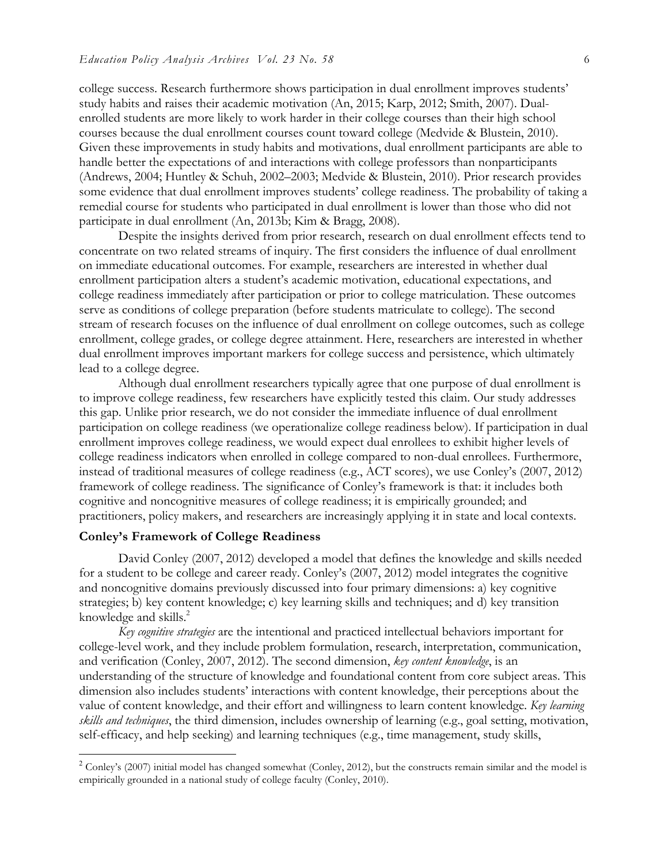college success. Research furthermore shows participation in dual enrollment improves students' study habits and raises their academic motivation (An, 2015; Karp, 2012; Smith, 2007). Dualenrolled students are more likely to work harder in their college courses than their high school courses because the dual enrollment courses count toward college (Medvide & Blustein, 2010). Given these improvements in study habits and motivations, dual enrollment participants are able to handle better the expectations of and interactions with college professors than nonparticipants (Andrews, 2004; Huntley & Schuh, 2002–2003; Medvide & Blustein, 2010). Prior research provides some evidence that dual enrollment improves students' college readiness. The probability of taking a remedial course for students who participated in dual enrollment is lower than those who did not participate in dual enrollment (An, 2013b; Kim & Bragg, 2008).

Despite the insights derived from prior research, research on dual enrollment effects tend to concentrate on two related streams of inquiry. The first considers the influence of dual enrollment on immediate educational outcomes. For example, researchers are interested in whether dual enrollment participation alters a student's academic motivation, educational expectations, and college readiness immediately after participation or prior to college matriculation. These outcomes serve as conditions of college preparation (before students matriculate to college). The second stream of research focuses on the influence of dual enrollment on college outcomes, such as college enrollment, college grades, or college degree attainment. Here, researchers are interested in whether dual enrollment improves important markers for college success and persistence, which ultimately lead to a college degree.

Although dual enrollment researchers typically agree that one purpose of dual enrollment is to improve college readiness, few researchers have explicitly tested this claim. Our study addresses this gap. Unlike prior research, we do not consider the immediate influence of dual enrollment participation on college readiness (we operationalize college readiness below). If participation in dual enrollment improves college readiness, we would expect dual enrollees to exhibit higher levels of college readiness indicators when enrolled in college compared to non-dual enrollees. Furthermore, instead of traditional measures of college readiness (e.g., ACT scores), we use Conley's (2007, 2012) framework of college readiness. The significance of Conley's framework is that: it includes both cognitive and noncognitive measures of college readiness; it is empirically grounded; and practitioners, policy makers, and researchers are increasingly applying it in state and local contexts.

# **Conley's Framework of College Readiness**

David Conley (2007, 2012) developed a model that defines the knowledge and skills needed for a student to be college and career ready. Conley's (2007, 2012) model integrates the cognitive and noncognitive domains previously discussed into four primary dimensions: a) key cognitive strategies; b) key content knowledge; c) key learning skills and techniques; and d) key transition knowledge and skills.<sup>2</sup>

*Key cognitive strategies* are the intentional and practiced intellectual behaviors important for college-level work, and they include problem formulation, research, interpretation, communication, and verification (Conley, 2007, 2012). The second dimension, *key content knowledge*, is an understanding of the structure of knowledge and foundational content from core subject areas. This dimension also includes students' interactions with content knowledge, their perceptions about the value of content knowledge, and their effort and willingness to learn content knowledge. *Key learning skills and techniques*, the third dimension, includes ownership of learning (e.g., goal setting, motivation, self-efficacy, and help seeking) and learning techniques (e.g., time management, study skills,

 $2$  Conley's (2007) initial model has changed somewhat (Conley, 2012), but the constructs remain similar and the model is empirically grounded in a national study of college faculty (Conley, 2010).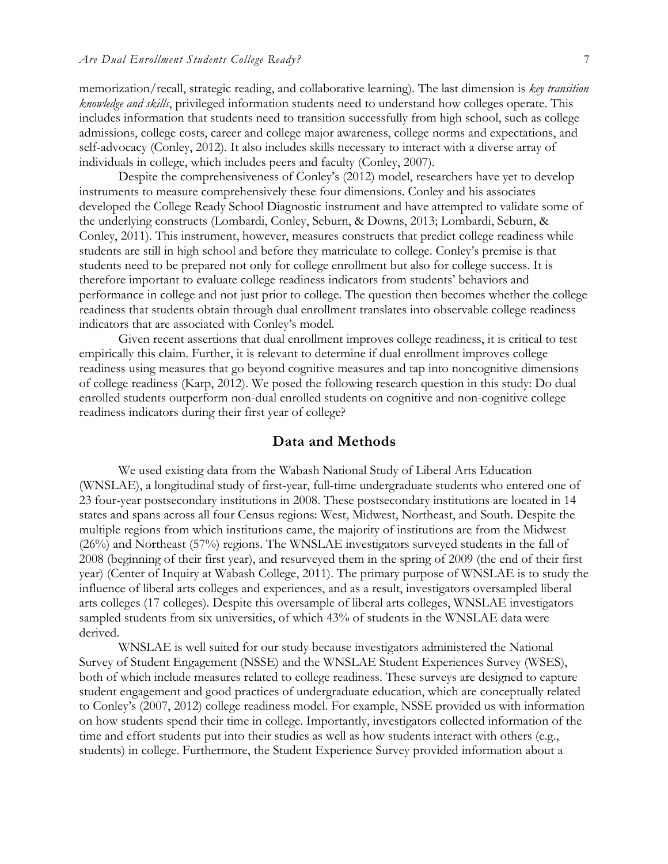memorization/recall, strategic reading, and collaborative learning). The last dimension is *key transition knowledge and skills*, privileged information students need to understand how colleges operate. This includes information that students need to transition successfully from high school, such as college admissions, college costs, career and college major awareness, college norms and expectations, and self-advocacy (Conley, 2012). It also includes skills necessary to interact with a diverse array of individuals in college, which includes peers and faculty (Conley, 2007).

Despite the comprehensiveness of Conley's (2012) model, researchers have yet to develop instruments to measure comprehensively these four dimensions. Conley and his associates developed the College Ready School Diagnostic instrument and have attempted to validate some of the underlying constructs (Lombardi, Conley, Seburn, & Downs, 2013; Lombardi, Seburn, & Conley, 2011). This instrument, however, measures constructs that predict college readiness while students are still in high school and before they matriculate to college. Conley's premise is that students need to be prepared not only for college enrollment but also for college success. It is therefore important to evaluate college readiness indicators from students' behaviors and performance in college and not just prior to college. The question then becomes whether the college readiness that students obtain through dual enrollment translates into observable college readiness indicators that are associated with Conley's model.

Given recent assertions that dual enrollment improves college readiness, it is critical to test empirically this claim. Further, it is relevant to determine if dual enrollment improves college readiness using measures that go beyond cognitive measures and tap into noncognitive dimensions of college readiness (Karp, 2012). We posed the following research question in this study: Do dual enrolled students outperform non-dual enrolled students on cognitive and non-cognitive college readiness indicators during their first year of college?

# **Data and Methods**

We used existing data from the Wabash National Study of Liberal Arts Education (WNSLAE), a longitudinal study of first-year, full-time undergraduate students who entered one of 23 four-year postsecondary institutions in 2008. These postsecondary institutions are located in 14 states and spans across all four Census regions: West, Midwest, Northeast, and South. Despite the multiple regions from which institutions came, the majority of institutions are from the Midwest (26%) and Northeast (57%) regions. The WNSLAE investigators surveyed students in the fall of 2008 (beginning of their first year), and resurveyed them in the spring of 2009 (the end of their first year) (Center of Inquiry at Wabash College, 2011). The primary purpose of WNSLAE is to study the influence of liberal arts colleges and experiences, and as a result, investigators oversampled liberal arts colleges (17 colleges). Despite this oversample of liberal arts colleges, WNSLAE investigators sampled students from six universities, of which 43% of students in the WNSLAE data were derived.

WNSLAE is well suited for our study because investigators administered the National Survey of Student Engagement (NSSE) and the WNSLAE Student Experiences Survey (WSES), both of which include measures related to college readiness. These surveys are designed to capture student engagement and good practices of undergraduate education, which are conceptually related to Conley's (2007, 2012) college readiness model. For example, NSSE provided us with information on how students spend their time in college. Importantly, investigators collected information of the time and effort students put into their studies as well as how students interact with others (e.g., students) in college. Furthermore, the Student Experience Survey provided information about a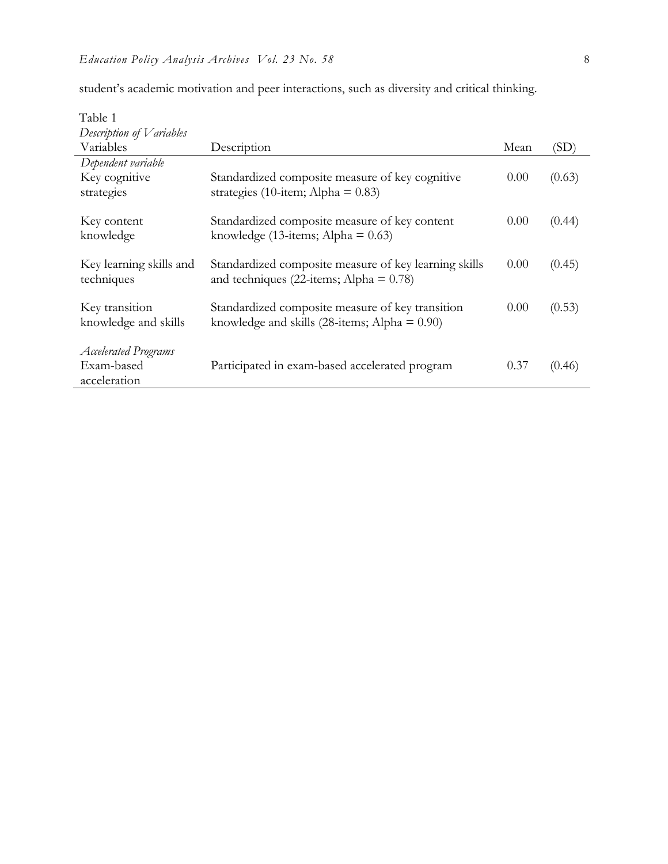| Table 1                     |                                                               |      |        |
|-----------------------------|---------------------------------------------------------------|------|--------|
| Description of Variables    |                                                               |      |        |
| Variables                   | Description                                                   | Mean | (SD)   |
| Dependent variable          |                                                               |      |        |
| Key cognitive               | Standardized composite measure of key cognitive               | 0.00 | (0.63) |
| strategies                  | strategies (10-item; Alpha = $0.83$ )                         |      |        |
|                             |                                                               |      |        |
| Key content                 | Standardized composite measure of key content                 | 0.00 | (0.44) |
| knowledge                   | knowledge (13-items; Alpha = $0.63$ )                         |      |        |
|                             |                                                               |      |        |
| Key learning skills and     | Standardized composite measure of key learning skills         | 0.00 | (0.45) |
| techniques                  | and techniques (22-items; Alpha $= 0.78$ )                    |      |        |
|                             |                                                               |      |        |
| Key transition              | Standardized composite measure of key transition              | 0.00 | (0.53) |
| knowledge and skills        | knowledge and skills $(28\text{-items}; \text{Alpha} = 0.90)$ |      |        |
|                             |                                                               |      |        |
| <b>Accelerated Programs</b> |                                                               |      |        |
| Exam-based                  | Participated in exam-based accelerated program                | 0.37 | (0.46) |
| acceleration                |                                                               |      |        |

student's academic motivation and peer interactions, such as diversity and critical thinking.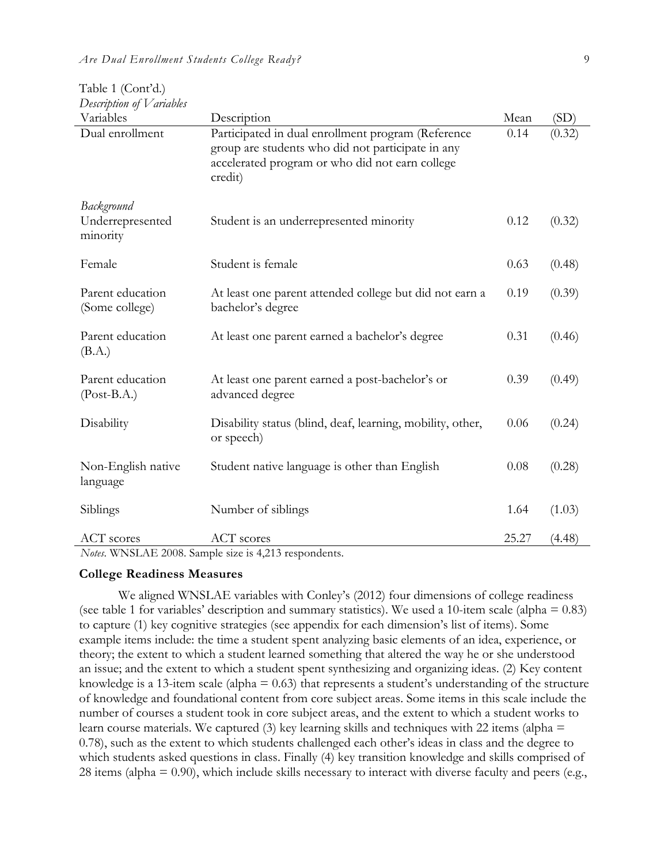| Description of V ariables<br>Variables     | Description                                                                                                                                                           | Mean  | (SD)   |
|--------------------------------------------|-----------------------------------------------------------------------------------------------------------------------------------------------------------------------|-------|--------|
| Dual enrollment                            | Participated in dual enrollment program (Reference<br>group are students who did not participate in any<br>accelerated program or who did not earn college<br>credit) | 0.14  | (0.32) |
| Background<br>Underrepresented<br>minority | Student is an underrepresented minority                                                                                                                               | 0.12  | (0.32) |
| Female                                     | Student is female                                                                                                                                                     | 0.63  | (0.48) |
| Parent education<br>(Some college)         | At least one parent attended college but did not earn a<br>bachelor's degree                                                                                          | 0.19  | (0.39) |
| Parent education<br>(B.A.)                 | At least one parent earned a bachelor's degree                                                                                                                        | 0.31  | (0.46) |
| Parent education<br>$(Post-B.A.)$          | At least one parent earned a post-bachelor's or<br>advanced degree                                                                                                    | 0.39  | (0.49) |
| Disability                                 | Disability status (blind, deaf, learning, mobility, other,<br>or speech)                                                                                              | 0.06  | (0.24) |
| Non-English native<br>language             | Student native language is other than English                                                                                                                         | 0.08  | (0.28) |
| Siblings                                   | Number of siblings                                                                                                                                                    | 1.64  | (1.03) |
| <b>ACT</b> scores                          | <b>ACT</b> scores                                                                                                                                                     | 25.27 | (4.48) |

| Table 1 (Cont'd.)        |  |
|--------------------------|--|
| Description of Variables |  |

*Notes*. WNSLAE 2008. Sample size is 4,213 respondents.

### **College Readiness Measures**

We aligned WNSLAE variables with Conley's (2012) four dimensions of college readiness (see table 1 for variables' description and summary statistics). We used a 10-item scale (alpha  $= 0.83$ ) to capture (1) key cognitive strategies (see appendix for each dimension's list of items). Some example items include: the time a student spent analyzing basic elements of an idea, experience, or theory; the extent to which a student learned something that altered the way he or she understood an issue; and the extent to which a student spent synthesizing and organizing ideas. (2) Key content knowledge is a 13-item scale (alpha  $= 0.63$ ) that represents a student's understanding of the structure of knowledge and foundational content from core subject areas. Some items in this scale include the number of courses a student took in core subject areas, and the extent to which a student works to learn course materials. We captured (3) key learning skills and techniques with 22 items (alpha = 0.78), such as the extent to which students challenged each other's ideas in class and the degree to which students asked questions in class. Finally (4) key transition knowledge and skills comprised of 28 items (alpha  $= 0.90$ ), which include skills necessary to interact with diverse faculty and peers (e.g.,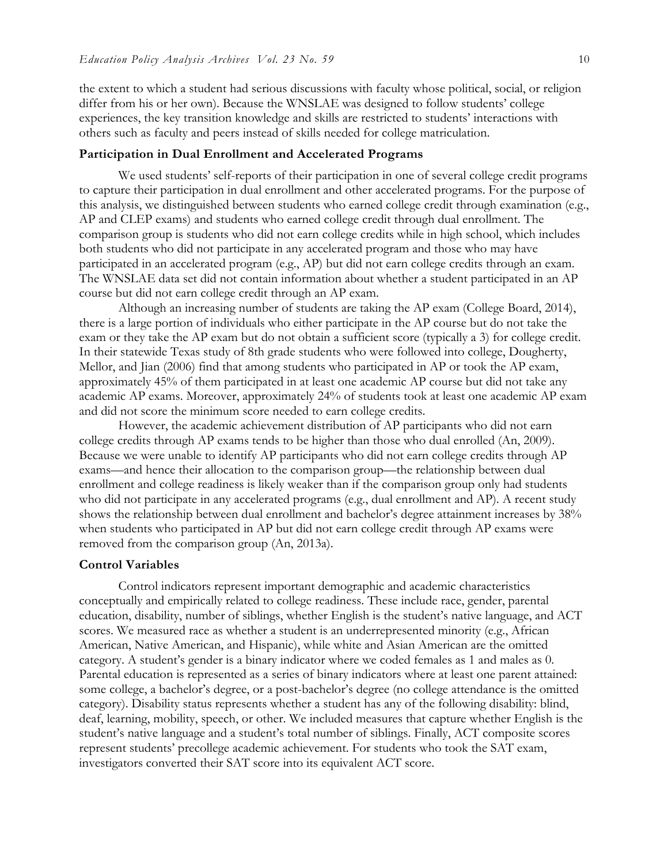the extent to which a student had serious discussions with faculty whose political, social, or religion differ from his or her own). Because the WNSLAE was designed to follow students' college experiences, the key transition knowledge and skills are restricted to students' interactions with others such as faculty and peers instead of skills needed for college matriculation.

#### **Participation in Dual Enrollment and Accelerated Programs**

We used students' self-reports of their participation in one of several college credit programs to capture their participation in dual enrollment and other accelerated programs. For the purpose of this analysis, we distinguished between students who earned college credit through examination (e.g., AP and CLEP exams) and students who earned college credit through dual enrollment. The comparison group is students who did not earn college credits while in high school, which includes both students who did not participate in any accelerated program and those who may have participated in an accelerated program (e.g., AP) but did not earn college credits through an exam. The WNSLAE data set did not contain information about whether a student participated in an AP course but did not earn college credit through an AP exam.

Although an increasing number of students are taking the AP exam (College Board, 2014), there is a large portion of individuals who either participate in the AP course but do not take the exam or they take the AP exam but do not obtain a sufficient score (typically a 3) for college credit. In their statewide Texas study of 8th grade students who were followed into college, Dougherty, Mellor, and Jian (2006) find that among students who participated in AP or took the AP exam, approximately 45% of them participated in at least one academic AP course but did not take any academic AP exams. Moreover, approximately 24% of students took at least one academic AP exam and did not score the minimum score needed to earn college credits.

However, the academic achievement distribution of AP participants who did not earn college credits through AP exams tends to be higher than those who dual enrolled (An, 2009). Because we were unable to identify AP participants who did not earn college credits through AP exams—and hence their allocation to the comparison group—the relationship between dual enrollment and college readiness is likely weaker than if the comparison group only had students who did not participate in any accelerated programs (e.g., dual enrollment and AP). A recent study shows the relationship between dual enrollment and bachelor's degree attainment increases by 38% when students who participated in AP but did not earn college credit through AP exams were removed from the comparison group (An, 2013a).

#### **Control Variables**

Control indicators represent important demographic and academic characteristics conceptually and empirically related to college readiness. These include race, gender, parental education, disability, number of siblings, whether English is the student's native language, and ACT scores. We measured race as whether a student is an underrepresented minority (e.g., African American, Native American, and Hispanic), while white and Asian American are the omitted category. A student's gender is a binary indicator where we coded females as 1 and males as 0. Parental education is represented as a series of binary indicators where at least one parent attained: some college, a bachelor's degree, or a post-bachelor's degree (no college attendance is the omitted category). Disability status represents whether a student has any of the following disability: blind, deaf, learning, mobility, speech, or other. We included measures that capture whether English is the student's native language and a student's total number of siblings. Finally, ACT composite scores represent students' precollege academic achievement. For students who took the SAT exam, investigators converted their SAT score into its equivalent ACT score.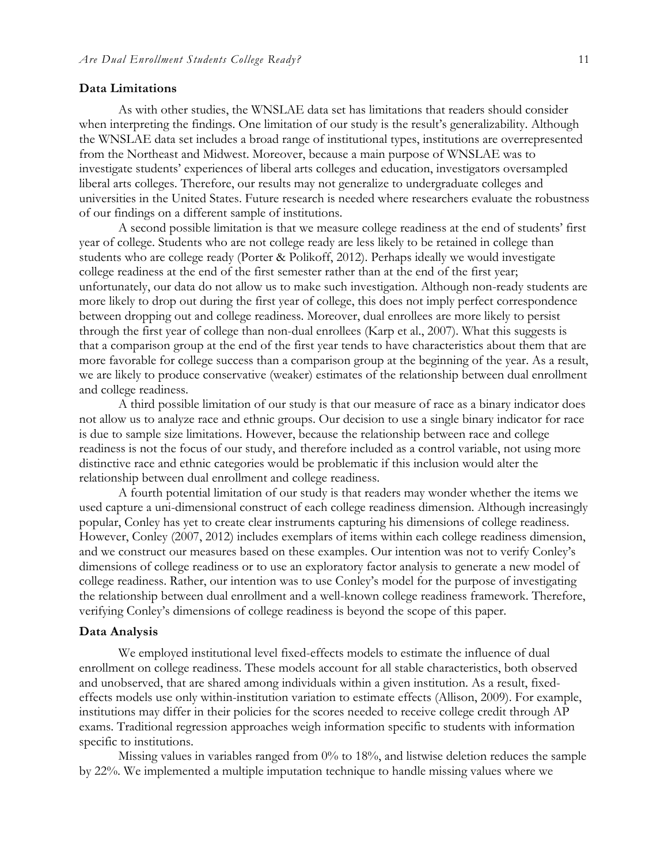#### **Data Limitations**

As with other studies, the WNSLAE data set has limitations that readers should consider when interpreting the findings. One limitation of our study is the result's generalizability. Although the WNSLAE data set includes a broad range of institutional types, institutions are overrepresented from the Northeast and Midwest. Moreover, because a main purpose of WNSLAE was to investigate students' experiences of liberal arts colleges and education, investigators oversampled liberal arts colleges. Therefore, our results may not generalize to undergraduate colleges and universities in the United States. Future research is needed where researchers evaluate the robustness of our findings on a different sample of institutions.

A second possible limitation is that we measure college readiness at the end of students' first year of college. Students who are not college ready are less likely to be retained in college than students who are college ready (Porter & Polikoff, 2012). Perhaps ideally we would investigate college readiness at the end of the first semester rather than at the end of the first year; unfortunately, our data do not allow us to make such investigation. Although non-ready students are more likely to drop out during the first year of college, this does not imply perfect correspondence between dropping out and college readiness. Moreover, dual enrollees are more likely to persist through the first year of college than non-dual enrollees (Karp et al., 2007). What this suggests is that a comparison group at the end of the first year tends to have characteristics about them that are more favorable for college success than a comparison group at the beginning of the year. As a result, we are likely to produce conservative (weaker) estimates of the relationship between dual enrollment and college readiness.

A third possible limitation of our study is that our measure of race as a binary indicator does not allow us to analyze race and ethnic groups. Our decision to use a single binary indicator for race is due to sample size limitations. However, because the relationship between race and college readiness is not the focus of our study, and therefore included as a control variable, not using more distinctive race and ethnic categories would be problematic if this inclusion would alter the relationship between dual enrollment and college readiness.

A fourth potential limitation of our study is that readers may wonder whether the items we used capture a uni-dimensional construct of each college readiness dimension. Although increasingly popular, Conley has yet to create clear instruments capturing his dimensions of college readiness. However, Conley (2007, 2012) includes exemplars of items within each college readiness dimension, and we construct our measures based on these examples. Our intention was not to verify Conley's dimensions of college readiness or to use an exploratory factor analysis to generate a new model of college readiness. Rather, our intention was to use Conley's model for the purpose of investigating the relationship between dual enrollment and a well-known college readiness framework. Therefore, verifying Conley's dimensions of college readiness is beyond the scope of this paper.

#### **Data Analysis**

We employed institutional level fixed-effects models to estimate the influence of dual enrollment on college readiness. These models account for all stable characteristics, both observed and unobserved, that are shared among individuals within a given institution. As a result, fixedeffects models use only within-institution variation to estimate effects (Allison, 2009). For example, institutions may differ in their policies for the scores needed to receive college credit through AP exams. Traditional regression approaches weigh information specific to students with information specific to institutions.

Missing values in variables ranged from 0% to 18%, and listwise deletion reduces the sample by 22%. We implemented a multiple imputation technique to handle missing values where we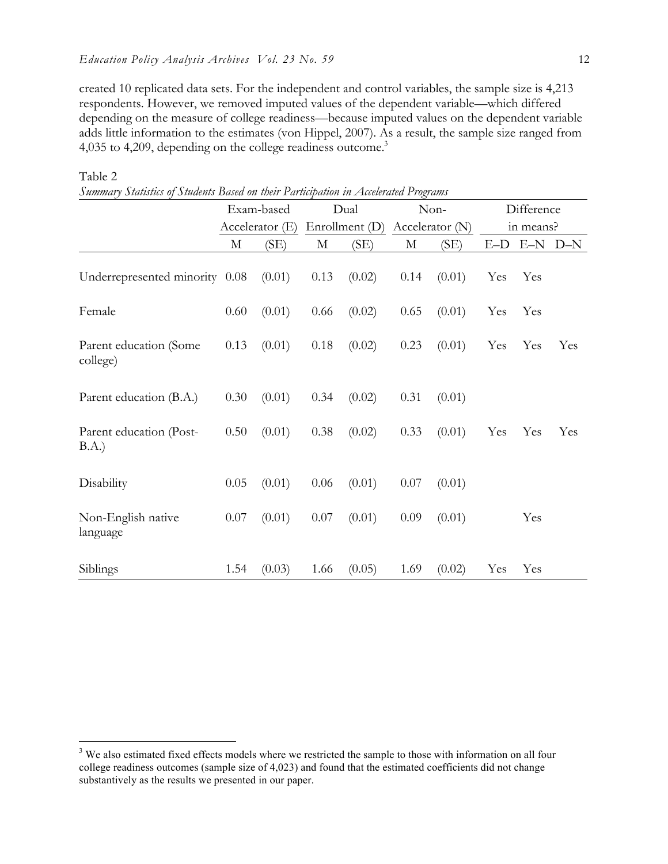created 10 replicated data sets. For the independent and control variables, the sample size is 4,213 respondents. However, we removed imputed values of the dependent variable—which differed depending on the measure of college readiness—because imputed values on the dependent variable adds little information to the estimates (von Hippel, 2007). As a result, the sample size ranged from 4,035 to 4,209, depending on the college readiness outcome.<sup>3</sup>

|                                    | Exam-based<br>Accelerator (E) |        | Dual<br>Enrollment (D) |        | Non-<br>Accelerator $(N)$ |        | Difference |     |           |
|------------------------------------|-------------------------------|--------|------------------------|--------|---------------------------|--------|------------|-----|-----------|
|                                    |                               |        |                        |        |                           |        | in means?  |     |           |
|                                    | M                             | (SE)   | М                      | (SE)   | М                         | (SE)   | $E-D$      |     | $E-N$ D-N |
| Underrepresented minority 0.08     |                               | (0.01) | 0.13                   | (0.02) | 0.14                      | (0.01) | Yes        | Yes |           |
| Female                             | 0.60                          | (0.01) | 0.66                   | (0.02) | 0.65                      | (0.01) | Yes        | Yes |           |
| Parent education (Some<br>college) | 0.13                          | (0.01) | 0.18                   | (0.02) | 0.23                      | (0.01) | Yes        | Yes | Yes       |
| Parent education (B.A.)            | 0.30                          | (0.01) | 0.34                   | (0.02) | 0.31                      | (0.01) |            |     |           |
| Parent education (Post-<br>B.A.)   | 0.50                          | (0.01) | 0.38                   | (0.02) | 0.33                      | (0.01) | Yes        | Yes | Yes       |
| Disability                         | 0.05                          | (0.01) | 0.06                   | (0.01) | 0.07                      | (0.01) |            |     |           |
| Non-English native<br>language     | 0.07                          | (0.01) | 0.07                   | (0.01) | 0.09                      | (0.01) |            | Yes |           |
| Siblings                           | 1.54                          | (0.03) | 1.66                   | (0.05) | 1.69                      | (0.02) | Yes        | Yes |           |

Table 2

*Summary Statistics of Students Based on their Participation in Accelerated Programs*

<sup>&</sup>lt;sup>3</sup> We also estimated fixed effects models where we restricted the sample to those with information on all four college readiness outcomes (sample size of 4,023) and found that the estimated coefficients did not change substantively as the results we presented in our paper.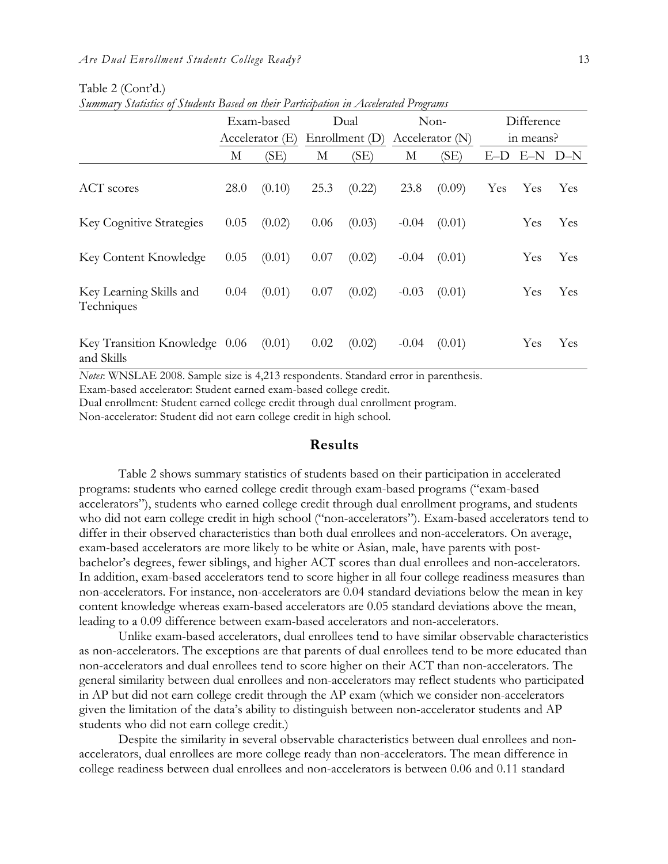|                                             | Summary Statistics of Students Dasea on their Fartitipation in Attelerated Frograms |            |                  |        |                   |        |           |            |            |
|---------------------------------------------|-------------------------------------------------------------------------------------|------------|------------------|--------|-------------------|--------|-----------|------------|------------|
|                                             |                                                                                     | Exam-based |                  | Dual   |                   | Non-   |           | Difference |            |
|                                             | Accelerator $(E)$                                                                   |            | Enrollment $(D)$ |        | Accelerator $(N)$ |        | in means? |            |            |
|                                             | М                                                                                   | (SE)       | М                | (SE)   | М                 | (SE)   | $E-D$     | $E-N$      | $D-N$      |
| <b>ACT</b> scores                           | 28.0                                                                                | (0.10)     | 25.3             | (0.22) | 23.8              | (0.09) | Yes       | Yes        | <b>Yes</b> |
| <b>Key Cognitive Strategies</b>             | 0.05                                                                                | (0.02)     | 0.06             | (0.03) | $-0.04$           | (0.01) |           | Yes        | Yes        |
| <b>Key Content Knowledge</b>                | 0.05                                                                                | (0.01)     | 0.07             | (0.02) | $-0.04$           | (0.01) |           | Yes        | Yes        |
| Key Learning Skills and<br>Techniques       | 0.04                                                                                | (0.01)     | 0.07             | (0.02) | $-0.03$           | (0.01) |           | Yes        | Yes        |
| Key Transition Knowledge 0.06<br>and Skills |                                                                                     | (0.01)     | 0.02             | (0.02) | $-0.04$           | (0.01) |           | Yes        | Yes        |

Table 2 (Cont'd.) *Summary Statistics of Students Based on their Participation in Accelerated Programs*

*Notes*: WNSLAE 2008. Sample size is 4,213 respondents. Standard error in parenthesis.

Exam-based accelerator: Student earned exam-based college credit.

Dual enrollment: Student earned college credit through dual enrollment program.

Non-accelerator: Student did not earn college credit in high school.

# **Results**

Table 2 shows summary statistics of students based on their participation in accelerated programs: students who earned college credit through exam-based programs ("exam-based accelerators"), students who earned college credit through dual enrollment programs, and students who did not earn college credit in high school ("non-accelerators"). Exam-based accelerators tend to differ in their observed characteristics than both dual enrollees and non-accelerators. On average, exam-based accelerators are more likely to be white or Asian, male, have parents with postbachelor's degrees, fewer siblings, and higher ACT scores than dual enrollees and non-accelerators. In addition, exam-based accelerators tend to score higher in all four college readiness measures than non-accelerators. For instance, non-accelerators are 0.04 standard deviations below the mean in key content knowledge whereas exam-based accelerators are 0.05 standard deviations above the mean, leading to a 0.09 difference between exam-based accelerators and non-accelerators.

Unlike exam-based accelerators, dual enrollees tend to have similar observable characteristics as non-accelerators. The exceptions are that parents of dual enrollees tend to be more educated than non-accelerators and dual enrollees tend to score higher on their ACT than non-accelerators. The general similarity between dual enrollees and non-accelerators may reflect students who participated in AP but did not earn college credit through the AP exam (which we consider non-accelerators given the limitation of the data's ability to distinguish between non-accelerator students and AP students who did not earn college credit.)

Despite the similarity in several observable characteristics between dual enrollees and nonaccelerators, dual enrollees are more college ready than non-accelerators. The mean difference in college readiness between dual enrollees and non-accelerators is between 0.06 and 0.11 standard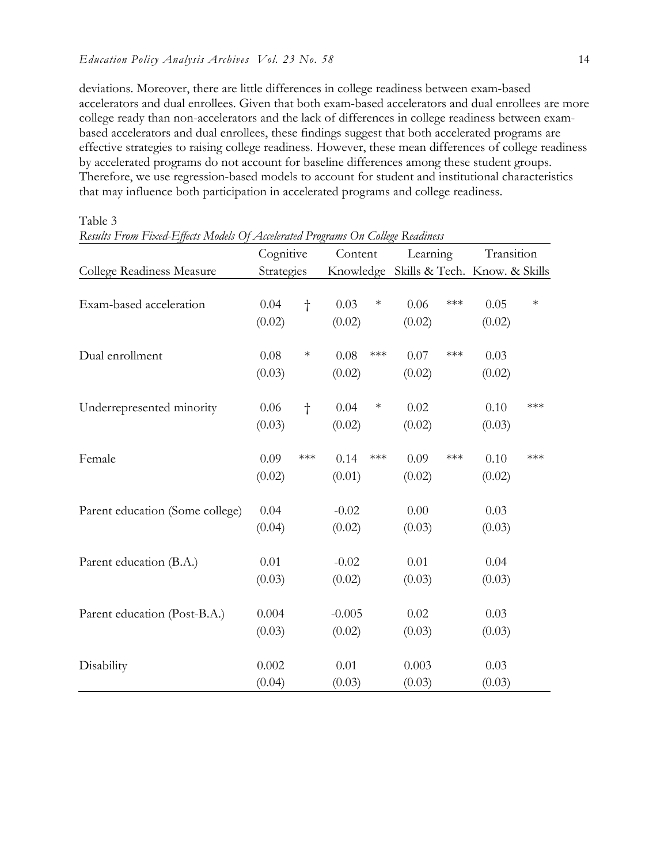Table 3

deviations. Moreover, there are little differences in college readiness between exam-based accelerators and dual enrollees. Given that both exam-based accelerators and dual enrollees are more college ready than non-accelerators and the lack of differences in college readiness between exambased accelerators and dual enrollees, these findings suggest that both accelerated programs are effective strategies to raising college readiness. However, these mean differences of college readiness by accelerated programs do not account for baseline differences among these student groups. Therefore, we use regression-based models to account for student and institutional characteristics that may influence both participation in accelerated programs and college readiness.

|                                 | Cognitive       |           | Content            |                    | Learning                                |                       | Transition     |        |
|---------------------------------|-----------------|-----------|--------------------|--------------------|-----------------------------------------|-----------------------|----------------|--------|
| College Readiness Measure       | Strategies      |           |                    |                    | Knowledge Skills & Tech. Know. & Skills |                       |                |        |
| Exam-based acceleration         | 0.04<br>(0.02)  | $\dagger$ | 0.03<br>(0.02)     | $\ast$             | 0.06<br>(0.02)                          | $***$                 | 0.05<br>(0.02) | $\ast$ |
| Dual enrollment                 | 0.08<br>(0.03)  | $\ast$    | 0.08<br>(0.02)     | $\ast\!\ast\!\ast$ | 0.07<br>(0.02)                          | $\star\!\star\!\star$ | 0.03<br>(0.02) |        |
| Underrepresented minority       | 0.06<br>(0.03)  | $\dagger$ | 0.04<br>(0.02)     | $\ast$             | 0.02<br>(0.02)                          |                       | 0.10<br>(0.03) | ***    |
| Female                          | 0.09<br>(0.02)  | ***       | 0.14<br>(0.01)     | $\ast\!\ast\!\ast$ | 0.09<br>(0.02)                          | $***$                 | 0.10<br>(0.02) | $***$  |
| Parent education (Some college) | 0.04<br>(0.04)  |           | $-0.02$<br>(0.02)  |                    | 0.00<br>(0.03)                          |                       | 0.03<br>(0.03) |        |
| Parent education (B.A.)         | 0.01<br>(0.03)  |           | $-0.02$<br>(0.02)  |                    | 0.01<br>(0.03)                          |                       | 0.04<br>(0.03) |        |
| Parent education (Post-B.A.)    | 0.004<br>(0.03) |           | $-0.005$<br>(0.02) |                    | 0.02<br>(0.03)                          |                       | 0.03<br>(0.03) |        |
| Disability                      | 0.002<br>(0.04) |           | 0.01<br>(0.03)     |                    | 0.003<br>(0.03)                         |                       | 0.03<br>(0.03) |        |

*Results From Fixed-Effects Models Of Accelerated Programs On College Readiness*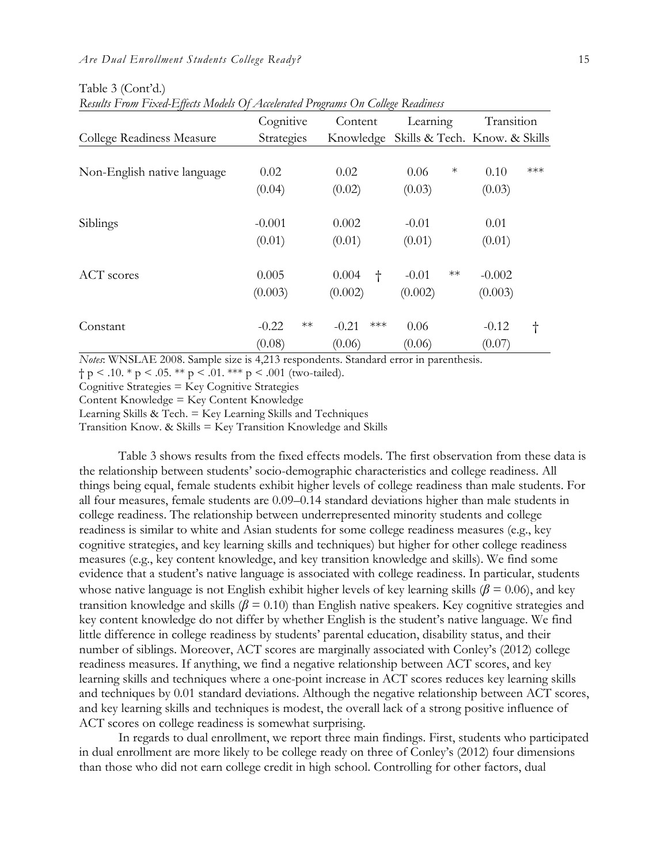|                             | Cognitive       | Content            | Learning              | Transition                    |  |
|-----------------------------|-----------------|--------------------|-----------------------|-------------------------------|--|
| College Readiness Measure   | Strategies      | Knowledge          |                       | Skills & Tech. Know. & Skills |  |
|                             |                 |                    |                       |                               |  |
| Non-English native language | 0.02            | 0.02               | $\ast$<br>0.06        | $***$<br>0.10                 |  |
|                             | (0.04)          | (0.02)             | (0.03)                | (0.03)                        |  |
| Siblings                    | $-0.001$        | 0.002              | $-0.01$               | 0.01                          |  |
|                             | (0.01)          | (0.01)             | (0.01)                | (0.01)                        |  |
| <b>ACT</b> scores           | 0.005           | 0.004<br>$\dagger$ | $\ast\ast$<br>$-0.01$ | $-0.002$                      |  |
|                             | (0.003)         | (0.002)            | (0.002)               | (0.003)                       |  |
| Constant                    | $**$<br>$-0.22$ | $***$<br>$-0.21$   | 0.06                  | $-0.12$<br>$^\dagger$         |  |
|                             | (0.08)          | (0.06)             | (0.06)                | (0.07)                        |  |

Table 3 (Cont'd.) *Results From Fixed-Effects Models Of Accelerated Programs On College Readiness*

*Notes*: WNSLAE 2008. Sample size is 4,213 respondents. Standard error in parenthesis.

 $\dagger p < .10.$  \*  $p < .05.$  \*\*  $p < .01.$  \*\*\*  $p < .001$  (two-tailed).

Cognitive Strategies = Key Cognitive Strategies

Content Knowledge = Key Content Knowledge

Learning Skills & Tech. = Key Learning Skills and Techniques

Transition Know. & Skills = Key Transition Knowledge and Skills

Table 3 shows results from the fixed effects models. The first observation from these data is the relationship between students' socio-demographic characteristics and college readiness. All things being equal, female students exhibit higher levels of college readiness than male students. For all four measures, female students are 0.09–0.14 standard deviations higher than male students in college readiness. The relationship between underrepresented minority students and college readiness is similar to white and Asian students for some college readiness measures (e.g., key cognitive strategies, and key learning skills and techniques) but higher for other college readiness measures (e.g., key content knowledge, and key transition knowledge and skills). We find some evidence that a student's native language is associated with college readiness. In particular, students whose native language is not English exhibit higher levels of key learning skills ( $\beta$  = 0.06), and key transition knowledge and skills  $(\beta = 0.10)$  than English native speakers. Key cognitive strategies and key content knowledge do not differ by whether English is the student's native language. We find little difference in college readiness by students' parental education, disability status, and their number of siblings. Moreover, ACT scores are marginally associated with Conley's (2012) college readiness measures. If anything, we find a negative relationship between ACT scores, and key learning skills and techniques where a one-point increase in ACT scores reduces key learning skills and techniques by 0.01 standard deviations. Although the negative relationship between ACT scores, and key learning skills and techniques is modest, the overall lack of a strong positive influence of ACT scores on college readiness is somewhat surprising.

In regards to dual enrollment, we report three main findings. First, students who participated in dual enrollment are more likely to be college ready on three of Conley's (2012) four dimensions than those who did not earn college credit in high school. Controlling for other factors, dual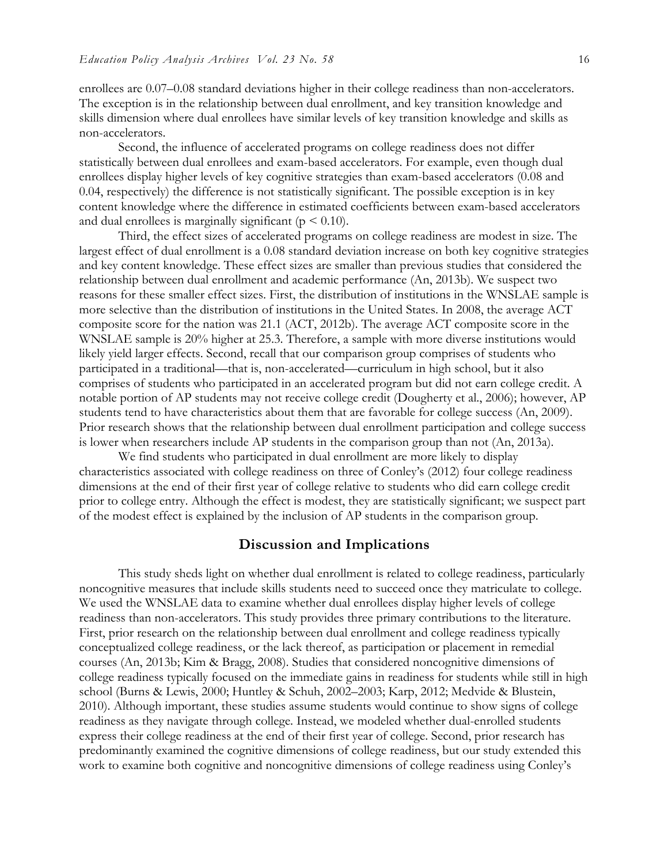enrollees are 0.07–0.08 standard deviations higher in their college readiness than non-accelerators. The exception is in the relationship between dual enrollment, and key transition knowledge and skills dimension where dual enrollees have similar levels of key transition knowledge and skills as non-accelerators.

Second, the influence of accelerated programs on college readiness does not differ statistically between dual enrollees and exam-based accelerators. For example, even though dual enrollees display higher levels of key cognitive strategies than exam-based accelerators (0.08 and 0.04, respectively) the difference is not statistically significant. The possible exception is in key content knowledge where the difference in estimated coefficients between exam-based accelerators and dual enrollees is marginally significant ( $p \le 0.10$ ).

Third, the effect sizes of accelerated programs on college readiness are modest in size. The largest effect of dual enrollment is a 0.08 standard deviation increase on both key cognitive strategies and key content knowledge. These effect sizes are smaller than previous studies that considered the relationship between dual enrollment and academic performance (An, 2013b). We suspect two reasons for these smaller effect sizes. First, the distribution of institutions in the WNSLAE sample is more selective than the distribution of institutions in the United States. In 2008, the average ACT composite score for the nation was 21.1 (ACT, 2012b). The average ACT composite score in the WNSLAE sample is 20% higher at 25.3. Therefore, a sample with more diverse institutions would likely yield larger effects. Second, recall that our comparison group comprises of students who participated in a traditional—that is, non-accelerated—curriculum in high school, but it also comprises of students who participated in an accelerated program but did not earn college credit. A notable portion of AP students may not receive college credit (Dougherty et al., 2006); however, AP students tend to have characteristics about them that are favorable for college success (An, 2009). Prior research shows that the relationship between dual enrollment participation and college success is lower when researchers include AP students in the comparison group than not (An, 2013a).

We find students who participated in dual enrollment are more likely to display characteristics associated with college readiness on three of Conley's (2012) four college readiness dimensions at the end of their first year of college relative to students who did earn college credit prior to college entry. Although the effect is modest, they are statistically significant; we suspect part of the modest effect is explained by the inclusion of AP students in the comparison group.

## **Discussion and Implications**

This study sheds light on whether dual enrollment is related to college readiness, particularly noncognitive measures that include skills students need to succeed once they matriculate to college. We used the WNSLAE data to examine whether dual enrollees display higher levels of college readiness than non-accelerators. This study provides three primary contributions to the literature. First, prior research on the relationship between dual enrollment and college readiness typically conceptualized college readiness, or the lack thereof, as participation or placement in remedial courses (An, 2013b; Kim & Bragg, 2008). Studies that considered noncognitive dimensions of college readiness typically focused on the immediate gains in readiness for students while still in high school (Burns & Lewis, 2000; Huntley & Schuh, 2002–2003; Karp, 2012; Medvide & Blustein, 2010). Although important, these studies assume students would continue to show signs of college readiness as they navigate through college. Instead, we modeled whether dual-enrolled students express their college readiness at the end of their first year of college. Second, prior research has predominantly examined the cognitive dimensions of college readiness, but our study extended this work to examine both cognitive and noncognitive dimensions of college readiness using Conley's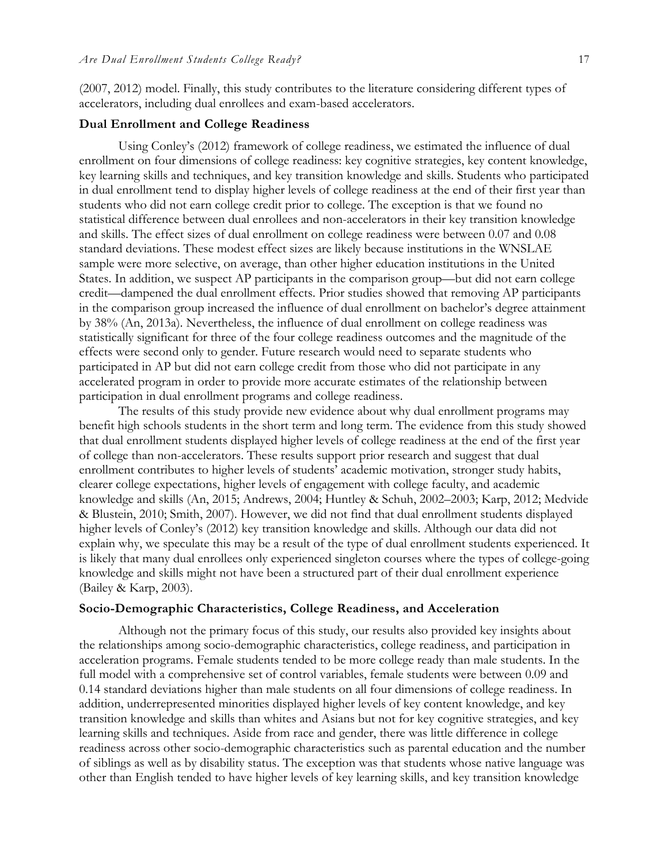(2007, 2012) model. Finally, this study contributes to the literature considering different types of accelerators, including dual enrollees and exam-based accelerators.

#### **Dual Enrollment and College Readiness**

Using Conley's (2012) framework of college readiness, we estimated the influence of dual enrollment on four dimensions of college readiness: key cognitive strategies, key content knowledge, key learning skills and techniques, and key transition knowledge and skills. Students who participated in dual enrollment tend to display higher levels of college readiness at the end of their first year than students who did not earn college credit prior to college. The exception is that we found no statistical difference between dual enrollees and non-accelerators in their key transition knowledge and skills. The effect sizes of dual enrollment on college readiness were between 0.07 and 0.08 standard deviations. These modest effect sizes are likely because institutions in the WNSLAE sample were more selective, on average, than other higher education institutions in the United States. In addition, we suspect AP participants in the comparison group—but did not earn college credit—dampened the dual enrollment effects. Prior studies showed that removing AP participants in the comparison group increased the influence of dual enrollment on bachelor's degree attainment by 38% (An, 2013a). Nevertheless, the influence of dual enrollment on college readiness was statistically significant for three of the four college readiness outcomes and the magnitude of the effects were second only to gender. Future research would need to separate students who participated in AP but did not earn college credit from those who did not participate in any accelerated program in order to provide more accurate estimates of the relationship between participation in dual enrollment programs and college readiness.

The results of this study provide new evidence about why dual enrollment programs may benefit high schools students in the short term and long term. The evidence from this study showed that dual enrollment students displayed higher levels of college readiness at the end of the first year of college than non-accelerators. These results support prior research and suggest that dual enrollment contributes to higher levels of students' academic motivation, stronger study habits, clearer college expectations, higher levels of engagement with college faculty, and academic knowledge and skills (An, 2015; Andrews, 2004; Huntley & Schuh, 2002–2003; Karp, 2012; Medvide & Blustein, 2010; Smith, 2007). However, we did not find that dual enrollment students displayed higher levels of Conley's (2012) key transition knowledge and skills. Although our data did not explain why, we speculate this may be a result of the type of dual enrollment students experienced. It is likely that many dual enrollees only experienced singleton courses where the types of college-going knowledge and skills might not have been a structured part of their dual enrollment experience (Bailey & Karp, 2003).

### **Socio-Demographic Characteristics, College Readiness, and Acceleration**

Although not the primary focus of this study, our results also provided key insights about the relationships among socio-demographic characteristics, college readiness, and participation in acceleration programs. Female students tended to be more college ready than male students. In the full model with a comprehensive set of control variables, female students were between 0.09 and 0.14 standard deviations higher than male students on all four dimensions of college readiness. In addition, underrepresented minorities displayed higher levels of key content knowledge, and key transition knowledge and skills than whites and Asians but not for key cognitive strategies, and key learning skills and techniques. Aside from race and gender, there was little difference in college readiness across other socio-demographic characteristics such as parental education and the number of siblings as well as by disability status. The exception was that students whose native language was other than English tended to have higher levels of key learning skills, and key transition knowledge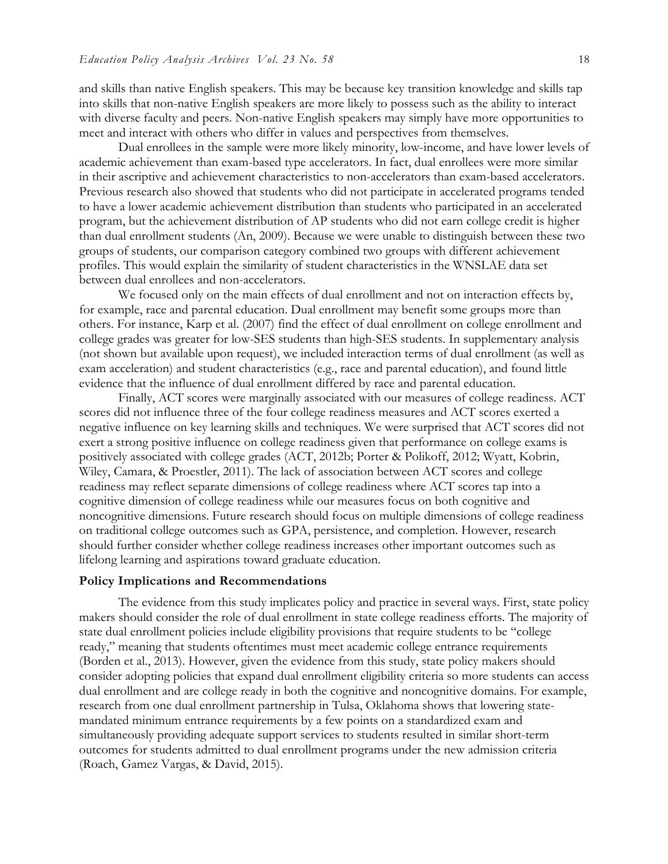and skills than native English speakers. This may be because key transition knowledge and skills tap into skills that non-native English speakers are more likely to possess such as the ability to interact with diverse faculty and peers. Non-native English speakers may simply have more opportunities to meet and interact with others who differ in values and perspectives from themselves.

Dual enrollees in the sample were more likely minority, low-income, and have lower levels of academic achievement than exam-based type accelerators. In fact, dual enrollees were more similar in their ascriptive and achievement characteristics to non-accelerators than exam-based accelerators. Previous research also showed that students who did not participate in accelerated programs tended to have a lower academic achievement distribution than students who participated in an accelerated program, but the achievement distribution of AP students who did not earn college credit is higher than dual enrollment students (An, 2009). Because we were unable to distinguish between these two groups of students, our comparison category combined two groups with different achievement profiles. This would explain the similarity of student characteristics in the WNSLAE data set between dual enrollees and non-accelerators.

We focused only on the main effects of dual enrollment and not on interaction effects by, for example, race and parental education. Dual enrollment may benefit some groups more than others. For instance, Karp et al. (2007) find the effect of dual enrollment on college enrollment and college grades was greater for low-SES students than high-SES students. In supplementary analysis (not shown but available upon request), we included interaction terms of dual enrollment (as well as exam acceleration) and student characteristics (e.g., race and parental education), and found little evidence that the influence of dual enrollment differed by race and parental education.

Finally, ACT scores were marginally associated with our measures of college readiness. ACT scores did not influence three of the four college readiness measures and ACT scores exerted a negative influence on key learning skills and techniques. We were surprised that ACT scores did not exert a strong positive influence on college readiness given that performance on college exams is positively associated with college grades (ACT, 2012b; Porter & Polikoff, 2012; Wyatt, Kobrin, Wiley, Camara, & Proestler, 2011). The lack of association between ACT scores and college readiness may reflect separate dimensions of college readiness where ACT scores tap into a cognitive dimension of college readiness while our measures focus on both cognitive and noncognitive dimensions. Future research should focus on multiple dimensions of college readiness on traditional college outcomes such as GPA, persistence, and completion. However, research should further consider whether college readiness increases other important outcomes such as lifelong learning and aspirations toward graduate education.

#### **Policy Implications and Recommendations**

The evidence from this study implicates policy and practice in several ways. First, state policy makers should consider the role of dual enrollment in state college readiness efforts. The majority of state dual enrollment policies include eligibility provisions that require students to be "college ready," meaning that students oftentimes must meet academic college entrance requirements (Borden et al., 2013). However, given the evidence from this study, state policy makers should consider adopting policies that expand dual enrollment eligibility criteria so more students can access dual enrollment and are college ready in both the cognitive and noncognitive domains. For example, research from one dual enrollment partnership in Tulsa, Oklahoma shows that lowering statemandated minimum entrance requirements by a few points on a standardized exam and simultaneously providing adequate support services to students resulted in similar short-term outcomes for students admitted to dual enrollment programs under the new admission criteria (Roach, Gamez Vargas, & David, 2015).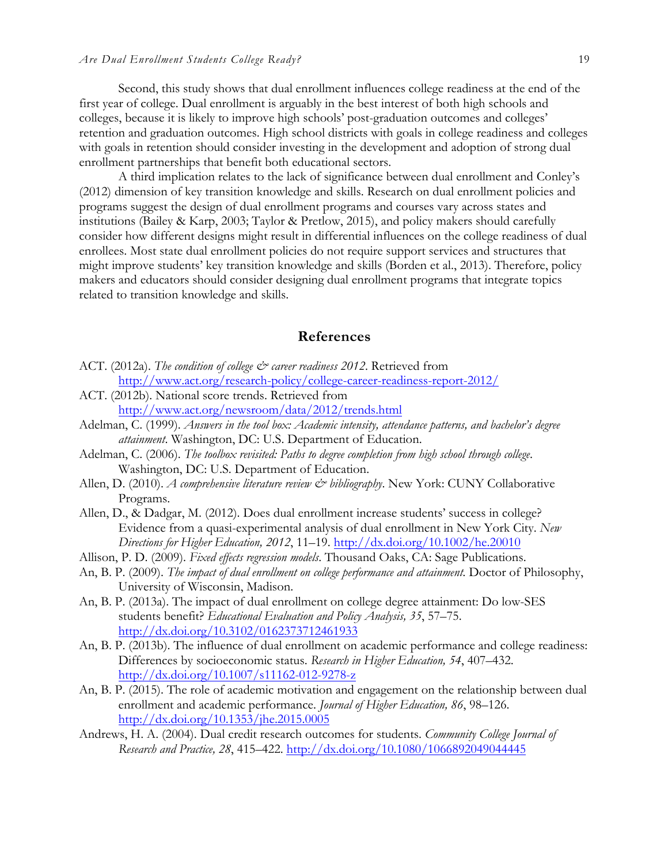Second, this study shows that dual enrollment influences college readiness at the end of the first year of college. Dual enrollment is arguably in the best interest of both high schools and colleges, because it is likely to improve high schools' post-graduation outcomes and colleges' retention and graduation outcomes. High school districts with goals in college readiness and colleges with goals in retention should consider investing in the development and adoption of strong dual enrollment partnerships that benefit both educational sectors.

A third implication relates to the lack of significance between dual enrollment and Conley's (2012) dimension of key transition knowledge and skills. Research on dual enrollment policies and programs suggest the design of dual enrollment programs and courses vary across states and institutions (Bailey & Karp, 2003; Taylor & Pretlow, 2015), and policy makers should carefully consider how different designs might result in differential influences on the college readiness of dual enrollees. Most state dual enrollment policies do not require support services and structures that might improve students' key transition knowledge and skills (Borden et al., 2013). Therefore, policy makers and educators should consider designing dual enrollment programs that integrate topics related to transition knowledge and skills.

## **References**

- ACT. (2012a). *The condition of college*  $\breve{c}$  *career readiness 2012*. Retrieved from http://www.act.org/research-policy/college-career-readiness-report-2012/
- ACT. (2012b). National score trends. Retrieved from http://www.act.org/newsroom/data/2012/trends.html
- Adelman, C. (1999). *Answers in the tool box: Academic intensity, attendance patterns, and bachelor's degree attainment*. Washington, DC: U.S. Department of Education.
- Adelman, C. (2006). *The toolbox revisited: Paths to degree completion from high school through college*. Washington, DC: U.S. Department of Education.
- Allen, D. (2010). *A comprehensive literature review & bibliography*. New York: CUNY Collaborative Programs.
- Allen, D., & Dadgar, M. (2012). Does dual enrollment increase students' success in college? Evidence from a quasi-experimental analysis of dual enrollment in New York City. *New Directions for Higher Education, 2012*, 11–19. http://dx.doi.org/10.1002/he.20010
- Allison, P. D. (2009). *Fixed effects regression models*. Thousand Oaks, CA: Sage Publications.
- An, B. P. (2009). *The impact of dual enrollment on college performance and attainment.* Doctor of Philosophy, University of Wisconsin, Madison.
- An, B. P. (2013a). The impact of dual enrollment on college degree attainment: Do low-SES students benefit? *Educational Evaluation and Policy Analysis, 35*, 57–75. http://dx.doi.org/10.3102/0162373712461933
- An, B. P. (2013b). The influence of dual enrollment on academic performance and college readiness: Differences by socioeconomic status. *Research in Higher Education, 54*, 407–432. http://dx.doi.org/10.1007/s11162-012-9278-z
- An, B. P. (2015). The role of academic motivation and engagement on the relationship between dual enrollment and academic performance. *Journal of Higher Education, 86*, 98–126. http://dx.doi.org/10.1353/jhe.2015.0005
- Andrews, H. A. (2004). Dual credit research outcomes for students. *Community College Journal of Research and Practice, 28*, 415–422. http://dx.doi.org/10.1080/1066892049044445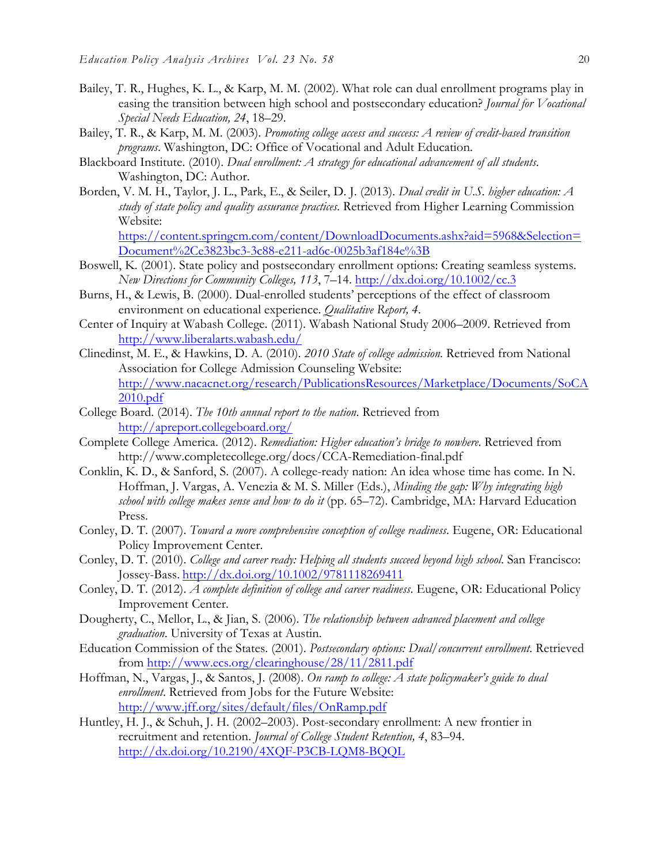- Bailey, T. R., Hughes, K. L., & Karp, M. M. (2002). What role can dual enrollment programs play in easing the transition between high school and postsecondary education? *Journal for Vocational Special Needs Education, 24*, 18–29.
- Bailey, T. R., & Karp, M. M. (2003). *Promoting college access and success: A review of credit-based transition programs*. Washington, DC: Office of Vocational and Adult Education.
- Blackboard Institute. (2010). *Dual enrollment: A strategy for educational advancement of all students*. Washington, DC: Author.
- Borden, V. M. H., Taylor, J. L., Park, E., & Seiler, D. J. (2013). *Dual credit in U.S. higher education: A study of state policy and quality assurance practices*. Retrieved from Higher Learning Commission Website:

https://content.springcm.com/content/DownloadDocuments.ashx?aid=5968&Selection= Document%2Ce3823bc3-3c88-e211-ad6c-0025b3af184e%3B

- Boswell, K. (2001). State policy and postsecondary enrollment options: Creating seamless systems. *New Directions for Community Colleges, 113*, 7–14. http://dx.doi.org/10.1002/cc.3
- Burns, H., & Lewis, B. (2000). Dual-enrolled students' perceptions of the effect of classroom environment on educational experience. *Qualitative Report, 4*.
- Center of Inquiry at Wabash College. (2011). Wabash National Study 2006–2009. Retrieved from http://www.liberalarts.wabash.edu/
- Clinedinst, M. E., & Hawkins, D. A. (2010). *2010 State of college admission*. Retrieved from National Association for College Admission Counseling Website: http://www.nacacnet.org/research/PublicationsResources/Marketplace/Documents/SoCA 2010.pdf
- College Board. (2014). *The 10th annual report to the nation*. Retrieved from http://apreport.collegeboard.org/
- Complete College America. (2012). *Remediation: Higher education's bridge to nowhere*. Retrieved from http://www.completecollege.org/docs/CCA-Remediation-final.pdf
- Conklin, K. D., & Sanford, S. (2007). A college-ready nation: An idea whose time has come. In N. Hoffman, J. Vargas, A. Venezia & M. S. Miller (Eds.), *Minding the gap: Why integrating high school with college makes sense and how to do it* (pp. 65–72). Cambridge, MA: Harvard Education Press.
- Conley, D. T. (2007). *Toward a more comprehensive conception of college readiness*. Eugene, OR: Educational Policy Improvement Center.
- Conley, D. T. (2010). *College and career ready: Helping all students succeed beyond high school*. San Francisco: Jossey-Bass. http://dx.doi.org/10.1002/9781118269411
- Conley, D. T. (2012). *A complete definition of college and career readiness*. Eugene, OR: Educational Policy Improvement Center.
- Dougherty, C., Mellor, L., & Jian, S. (2006). *The relationship between advanced placement and college graduation*. University of Texas at Austin.
- Education Commission of the States. (2001). *Postsecondary options: Dual/concurrent enrollment*. Retrieved from http://www.ecs.org/clearinghouse/28/11/2811.pdf
- Hoffman, N., Vargas, J., & Santos, J. (2008). *On ramp to college: A state policymaker's guide to dual enrollment*. Retrieved from Jobs for the Future Website: http://www.jff.org/sites/default/files/OnRamp.pdf
- Huntley, H. J., & Schuh, J. H. (2002–2003). Post-secondary enrollment: A new frontier in recruitment and retention. *Journal of College Student Retention, 4*, 83–94. http://dx.doi.org/10.2190/4XQF-P3CB-LQM8-BQQL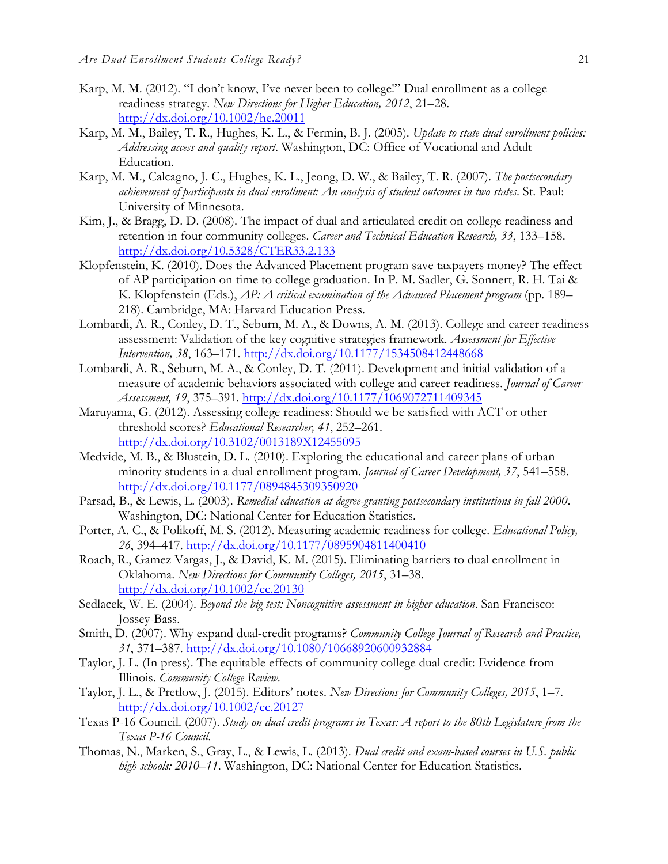- Karp, M. M. (2012). "I don't know, I've never been to college!" Dual enrollment as a college readiness strategy. *New Directions for Higher Education, 2012*, 21–28. http://dx.doi.org/10.1002/he.20011
- Karp, M. M., Bailey, T. R., Hughes, K. L., & Fermin, B. J. (2005). *Update to state dual enrollment policies: Addressing access and quality report*. Washington, DC: Office of Vocational and Adult Education.
- Karp, M. M., Calcagno, J. C., Hughes, K. L., Jeong, D. W., & Bailey, T. R. (2007). *The postsecondary achievement of participants in dual enrollment: An analysis of student outcomes in two states*. St. Paul: University of Minnesota.
- Kim, J., & Bragg, D. D. (2008). The impact of dual and articulated credit on college readiness and retention in four community colleges. *Career and Technical Education Research, 33*, 133–158. http://dx.doi.org/10.5328/CTER33.2.133
- Klopfenstein, K. (2010). Does the Advanced Placement program save taxpayers money? The effect of AP participation on time to college graduation. In P. M. Sadler, G. Sonnert, R. H. Tai & K. Klopfenstein (Eds.), *AP: A critical examination of the Advanced Placement program* (pp. 189– 218). Cambridge, MA: Harvard Education Press.
- Lombardi, A. R., Conley, D. T., Seburn, M. A., & Downs, A. M. (2013). College and career readiness assessment: Validation of the key cognitive strategies framework. *Assessment for Effective Intervention, 38*, 163–171. http://dx.doi.org/10.1177/1534508412448668
- Lombardi, A. R., Seburn, M. A., & Conley, D. T. (2011). Development and initial validation of a measure of academic behaviors associated with college and career readiness. *Journal of Career Assessment, 19*, 375–391. http://dx.doi.org/10.1177/1069072711409345
- Maruyama, G. (2012). Assessing college readiness: Should we be satisfied with ACT or other threshold scores? *Educational Researcher, 41*, 252–261. http://dx.doi.org/10.3102/0013189X12455095
- Medvide, M. B., & Blustein, D. L. (2010). Exploring the educational and career plans of urban minority students in a dual enrollment program. *Journal of Career Development, 37*, 541–558. http://dx.doi.org/10.1177/0894845309350920
- Parsad, B., & Lewis, L. (2003). *Remedial education at degree-granting postsecondary institutions in fall 2000*. Washington, DC: National Center for Education Statistics.
- Porter, A. C., & Polikoff, M. S. (2012). Measuring academic readiness for college. *Educational Policy, 26*, 394–417. http://dx.doi.org/10.1177/0895904811400410
- Roach, R., Gamez Vargas, J., & David, K. M. (2015). Eliminating barriers to dual enrollment in Oklahoma. *New Directions for Community Colleges, 2015*, 31–38. http://dx.doi.org/10.1002/cc.20130
- Sedlacek, W. E. (2004). *Beyond the big test: Noncognitive assessment in higher education*. San Francisco: Jossey-Bass.
- Smith, D. (2007). Why expand dual-credit programs? *Community College Journal of Research and Practice, 31*, 371–387. http://dx.doi.org/10.1080/10668920600932884
- Taylor, J. L. (In press). The equitable effects of community college dual credit: Evidence from Illinois. *Community College Review*.
- Taylor, J. L., & Pretlow, J. (2015). Editors' notes. *New Directions for Community Colleges, 2015*, 1–7. http://dx.doi.org/10.1002/cc.20127
- Texas P-16 Council. (2007). *Study on dual credit programs in Texas: A report to the 80th Legislature from the Texas P-16 Council*.
- Thomas, N., Marken, S., Gray, L., & Lewis, L. (2013). *Dual credit and exam-based courses in U.S. public high schools: 2010–11*. Washington, DC: National Center for Education Statistics.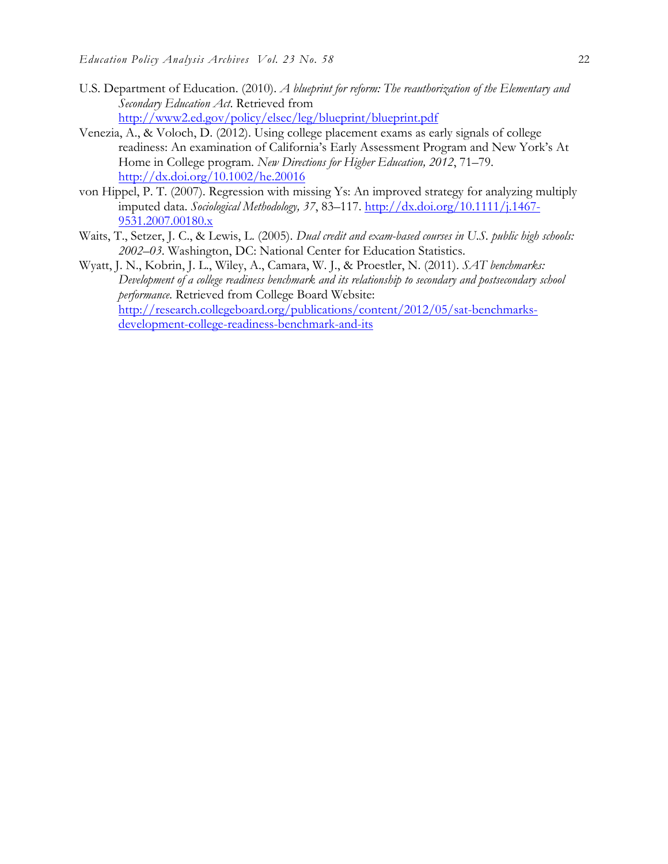- U.S. Department of Education. (2010). *A blueprint for reform: The reauthorization of the Elementary and Secondary Education Act*. Retrieved from http://www2.ed.gov/policy/elsec/leg/blueprint/blueprint.pdf
- Venezia, A., & Voloch, D. (2012). Using college placement exams as early signals of college readiness: An examination of California's Early Assessment Program and New York's At Home in College program. *New Directions for Higher Education, 2012*, 71–79. http://dx.doi.org/10.1002/he.20016
- von Hippel, P. T. (2007). Regression with missing Ys: An improved strategy for analyzing multiply imputed data. *Sociological Methodology, 37*, 83–117. http://dx.doi.org/10.1111/j.1467- 9531.2007.00180.x
- Waits, T., Setzer, J. C., & Lewis, L. (2005). *Dual credit and exam-based courses in U.S. public high schools: 2002–03*. Washington, DC: National Center for Education Statistics.
- Wyatt, J. N., Kobrin, J. L., Wiley, A., Camara, W. J., & Proestler, N. (2011). *SAT benchmarks: Development of a college readiness benchmark and its relationship to secondary and postsecondary school performance*. Retrieved from College Board Website: http://research.collegeboard.org/publications/content/2012/05/sat-benchmarksdevelopment-college-readiness-benchmark-and-its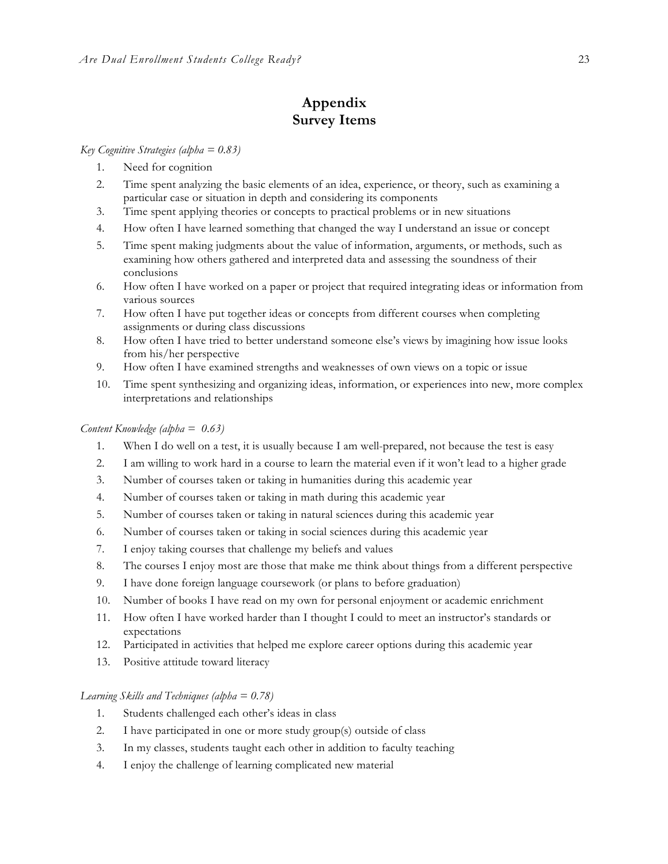# **Appendix Survey Items**

#### *Key Cognitive Strategies (alpha = 0.83)*

- 1. Need for cognition
- 2. Time spent analyzing the basic elements of an idea, experience, or theory, such as examining a particular case or situation in depth and considering its components
- 3. Time spent applying theories or concepts to practical problems or in new situations
- 4. How often I have learned something that changed the way I understand an issue or concept
- 5. Time spent making judgments about the value of information, arguments, or methods, such as examining how others gathered and interpreted data and assessing the soundness of their conclusions
- 6. How often I have worked on a paper or project that required integrating ideas or information from various sources
- 7. How often I have put together ideas or concepts from different courses when completing assignments or during class discussions
- 8. How often I have tried to better understand someone else's views by imagining how issue looks from his/her perspective
- 9. How often I have examined strengths and weaknesses of own views on a topic or issue
- 10. Time spent synthesizing and organizing ideas, information, or experiences into new, more complex interpretations and relationships

#### *Content Knowledge (alpha = 0.63)*

- 1. When I do well on a test, it is usually because I am well-prepared, not because the test is easy
- 2. I am willing to work hard in a course to learn the material even if it won't lead to a higher grade
- 3. Number of courses taken or taking in humanities during this academic year
- 4. Number of courses taken or taking in math during this academic year
- 5. Number of courses taken or taking in natural sciences during this academic year
- 6. Number of courses taken or taking in social sciences during this academic year
- 7. I enjoy taking courses that challenge my beliefs and values
- 8. The courses I enjoy most are those that make me think about things from a different perspective
- 9. I have done foreign language coursework (or plans to before graduation)
- 10. Number of books I have read on my own for personal enjoyment or academic enrichment
- 11. How often I have worked harder than I thought I could to meet an instructor's standards or expectations
- 12. Participated in activities that helped me explore career options during this academic year
- 13. Positive attitude toward literacy

#### *Learning Skills and Techniques (alpha = 0.78)*

- 1. Students challenged each other's ideas in class
- 2. I have participated in one or more study group(s) outside of class
- 3. In my classes, students taught each other in addition to faculty teaching
- 4. I enjoy the challenge of learning complicated new material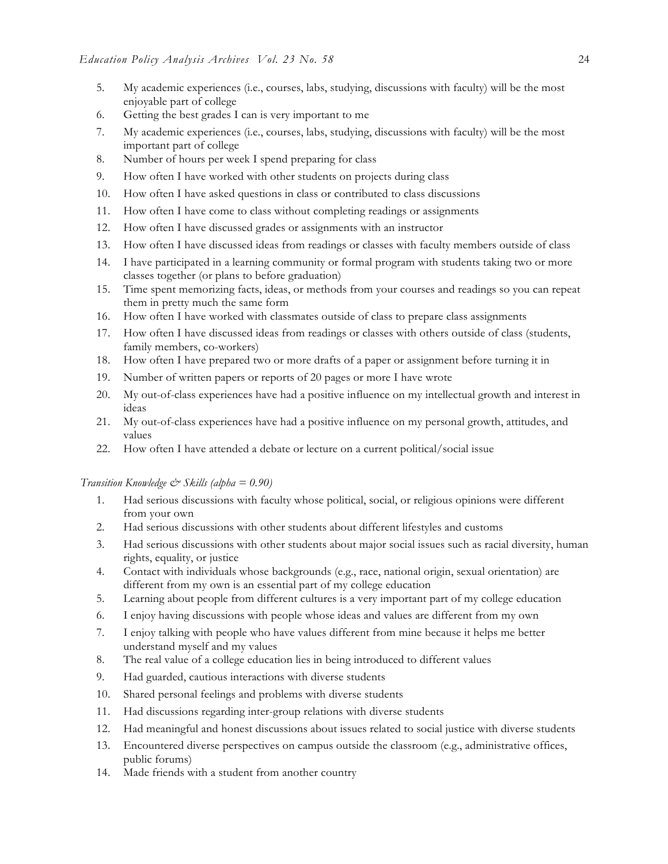- 5. My academic experiences (i.e., courses, labs, studying, discussions with faculty) will be the most enjoyable part of college
- 6. Getting the best grades I can is very important to me
- 7. My academic experiences (i.e., courses, labs, studying, discussions with faculty) will be the most important part of college
- 8. Number of hours per week I spend preparing for class
- 9. How often I have worked with other students on projects during class
- 10. How often I have asked questions in class or contributed to class discussions
- 11. How often I have come to class without completing readings or assignments
- 12. How often I have discussed grades or assignments with an instructor
- 13. How often I have discussed ideas from readings or classes with faculty members outside of class
- 14. I have participated in a learning community or formal program with students taking two or more classes together (or plans to before graduation)
- 15. Time spent memorizing facts, ideas, or methods from your courses and readings so you can repeat them in pretty much the same form
- 16. How often I have worked with classmates outside of class to prepare class assignments
- 17. How often I have discussed ideas from readings or classes with others outside of class (students, family members, co-workers)
- 18. How often I have prepared two or more drafts of a paper or assignment before turning it in
- 19. Number of written papers or reports of 20 pages or more I have wrote
- 20. My out-of-class experiences have had a positive influence on my intellectual growth and interest in ideas
- 21. My out-of-class experiences have had a positive influence on my personal growth, attitudes, and values
- 22. How often I have attended a debate or lecture on a current political/social issue

#### *Transition Knowledge & Skills (alpha = 0.90)*

- 1. Had serious discussions with faculty whose political, social, or religious opinions were different from your own
- 2. Had serious discussions with other students about different lifestyles and customs
- 3. Had serious discussions with other students about major social issues such as racial diversity, human rights, equality, or justice
- 4. Contact with individuals whose backgrounds (e.g., race, national origin, sexual orientation) are different from my own is an essential part of my college education
- 5. Learning about people from different cultures is a very important part of my college education
- 6. I enjoy having discussions with people whose ideas and values are different from my own
- 7. I enjoy talking with people who have values different from mine because it helps me better understand myself and my values
- 8. The real value of a college education lies in being introduced to different values
- 9. Had guarded, cautious interactions with diverse students
- 10. Shared personal feelings and problems with diverse students
- 11. Had discussions regarding inter-group relations with diverse students
- 12. Had meaningful and honest discussions about issues related to social justice with diverse students
- 13. Encountered diverse perspectives on campus outside the classroom (e.g., administrative offices, public forums)
- 14. Made friends with a student from another country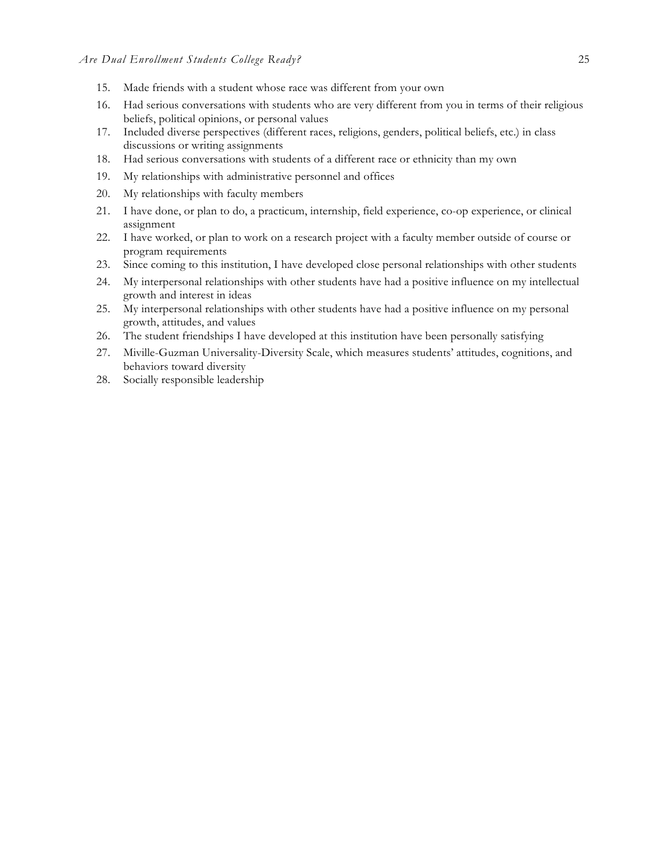- 15. Made friends with a student whose race was different from your own
- 16. Had serious conversations with students who are very different from you in terms of their religious beliefs, political opinions, or personal values
- 17. Included diverse perspectives (different races, religions, genders, political beliefs, etc.) in class discussions or writing assignments
- 18. Had serious conversations with students of a different race or ethnicity than my own
- 19. My relationships with administrative personnel and offices
- 20. My relationships with faculty members
- 21. I have done, or plan to do, a practicum, internship, field experience, co-op experience, or clinical assignment
- 22. I have worked, or plan to work on a research project with a faculty member outside of course or program requirements
- 23. Since coming to this institution, I have developed close personal relationships with other students
- 24. My interpersonal relationships with other students have had a positive influence on my intellectual growth and interest in ideas
- 25. My interpersonal relationships with other students have had a positive influence on my personal growth, attitudes, and values
- 26. The student friendships I have developed at this institution have been personally satisfying
- 27. Miville-Guzman Universality-Diversity Scale, which measures students' attitudes, cognitions, and behaviors toward diversity
- 28. Socially responsible leadership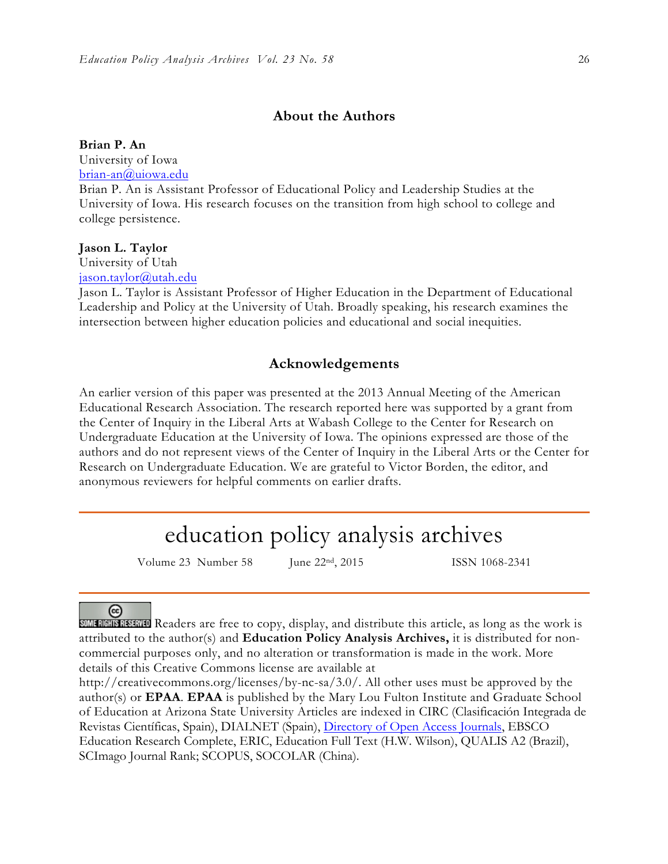# **About the Authors**

**Brian P. An** University of Iowa brian-an@uiowa.edu

Brian P. An is Assistant Professor of Educational Policy and Leadership Studies at the University of Iowa. His research focuses on the transition from high school to college and college persistence.

#### **Jason L. Taylor**

University of Utah jason.taylor@utah.edu

Jason L. Taylor is Assistant Professor of Higher Education in the Department of Educational Leadership and Policy at the University of Utah. Broadly speaking, his research examines the intersection between higher education policies and educational and social inequities.

# **Acknowledgements**

An earlier version of this paper was presented at the 2013 Annual Meeting of the American Educational Research Association. The research reported here was supported by a grant from the Center of Inquiry in the Liberal Arts at Wabash College to the Center for Research on Undergraduate Education at the University of Iowa. The opinions expressed are those of the authors and do not represent views of the Center of Inquiry in the Liberal Arts or the Center for Research on Undergraduate Education. We are grateful to Victor Borden, the editor, and anonymous reviewers for helpful comments on earlier drafts.

# education policy analysis archives

Volume 23 Number 58 June 22<sup>nd</sup>, 2015 ISSN 1068-2341

# ⊛

**SOME RIGHTS RESERVED** Readers are free to copy, display, and distribute this article, as long as the work is attributed to the author(s) and **Education Policy Analysis Archives,** it is distributed for noncommercial purposes only, and no alteration or transformation is made in the work. More details of this Creative Commons license are available at

http://creativecommons.org/licenses/by-nc-sa/3.0/. All other uses must be approved by the author(s) or **EPAA**. **EPAA** is published by the Mary Lou Fulton Institute and Graduate School of Education at Arizona State University Articles are indexed in CIRC (Clasificación Integrada de Revistas Científicas, Spain), DIALNET (Spain), Directory of Open Access Journals, EBSCO Education Research Complete, ERIC, Education Full Text (H.W. Wilson), QUALIS A2 (Brazil), SCImago Journal Rank; SCOPUS, SOCOLAR (China).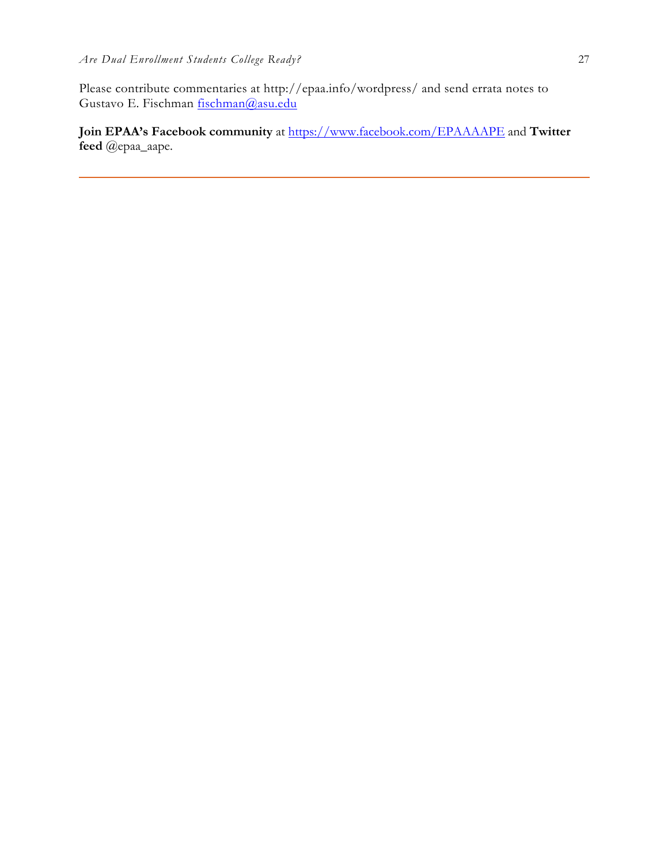Please contribute commentaries at http://epaa.info/wordpress/ and send errata notes to Gustavo E. Fischman fischman@asu.edu

**Join EPAA's Facebook community** at https://www.facebook.com/EPAAAAPE and **Twitter feed** @epaa\_aape.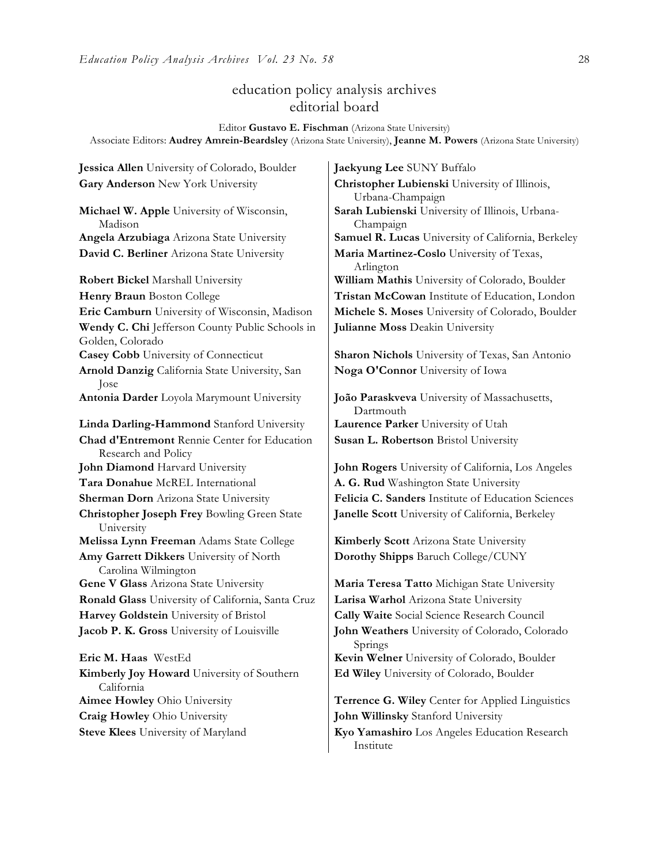# education policy analysis archives editorial board

Editor **Gustavo E. Fischman** (Arizona State University) Associate Editors: **Audrey Amrein-Beardsley** (Arizona State University), **Jeanne M. Powers** (Arizona State University)

**Jessica Allen** University of Colorado, Boulder **Jaekyung Lee** SUNY Buffalo **Gary Anderson** New York University **Christopher Lubienski** University of Illinois,

**Michael W. Apple** University of Wisconsin, Madison **David C. Berliner** Arizona State University **Maria Martinez-Coslo** University of Texas,

**Robert Bickel Marshall University William Mathis University of Colorado, Boulder Wendy C. Chi** Jefferson County Public Schools in Golden, Colorado **Casey Cobb** University of Connecticut **Sharon Nichols** University of Texas, San Antonio **Arnold Danzig** California State University, San Jose **Antonia Darder** Loyola Marymount University **João Paraskveva** University of Massachusetts, **Linda Darling-Hammond** Stanford University **Laurence Parker** University of Utah **Chad d'Entremont** Rennie Center for Education Research and Policy **John Diamond** Harvard University **John Rogers** University of California, Los Angeles **Tara Donahue** McREL International **A. G. Rud** Washington State University **Christopher Joseph Frey** Bowling Green State University **Melissa Lynn Freeman** Adams State College **Kimberly Scott** Arizona State University **Amy Garrett Dikkers** University of North Carolina Wilmington **Gene V Glass** Arizona State University **Maria Teresa Tatto** Michigan State University **Ronald Glass** University of California, Santa Cruz **Larisa Warhol** Arizona State University **Harvey Goldstein** University of Bristol **Cally Waite** Social Science Research Council **Jacob P. K. Gross** University of Louisville **John Weathers** University of Colorado, Colorado **Eric M. Haas** WestEd **Kevin Welner** University of Colorado, Boulder

**Kimberly Joy Howard** University of Southern California **Craig Howley** Ohio University **John Willinsky** Stanford University

Urbana-Champaign **Sarah Lubienski** University of Illinois, Urbana-Champaign **Angela Arzubiaga** Arizona State University **Samuel R. Lucas** University of California, Berkeley Arlington **Henry Braun** Boston College **Tristan McCowan** Institute of Education, London **Eric Camburn** University of Wisconsin, Madison **Michele S. Moses** University of Colorado, Boulder **Julianne Moss** Deakin University

**Noga O'Connor** University of Iowa

Dartmouth **Susan L. Robertson** Bristol University

**Sherman Dorn** Arizona State University **Felicia C. Sanders** Institute of Education Sciences **Janelle Scott** University of California, Berkeley

**Dorothy Shipps** Baruch College/CUNY

Springs

**Ed Wiley** University of Colorado, Boulder

**Aimee Howley** Ohio University **Terrence G. Wiley** Center for Applied Linguistics

**Steve Klees** University of Maryland **Kyo Yamashiro** Los Angeles Education Research Institute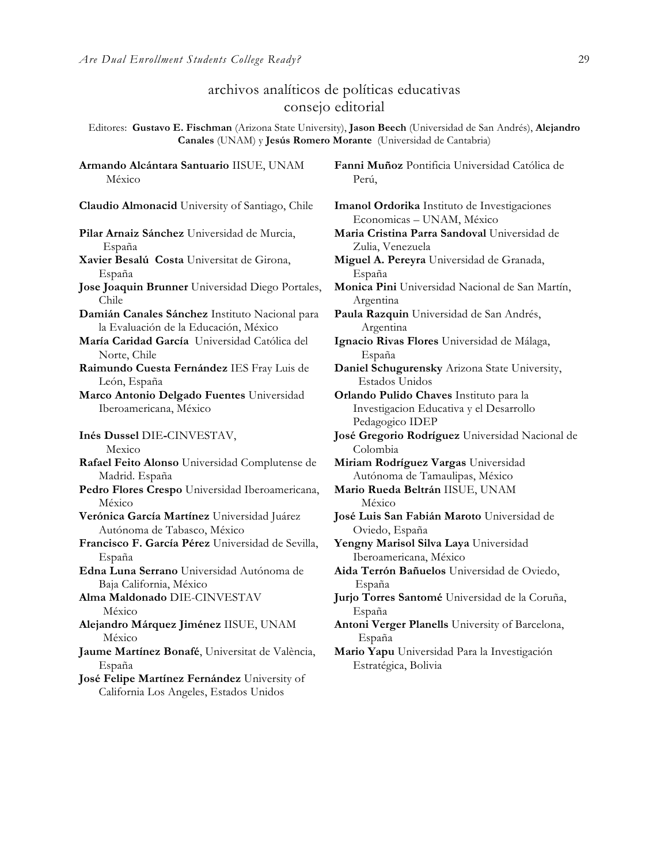**Armando Alcántara Santuario** IISUE, UNAM

# archivos analíticos de políticas educativas consejo editorial

Editores: **Gustavo E. Fischman** (Arizona State University), **Jason Beech** (Universidad de San Andrés), **Alejandro Canales** (UNAM) y **Jesús Romero Morante** (Universidad de Cantabria)

México **Claudio Almonacid** University of Santiago, Chile **Imanol Ordorika** Instituto de Investigaciones **Pilar Arnaiz Sánchez** Universidad de Murcia, España **Xavier Besalú Costa** Universitat de Girona, España **Jose Joaquin Brunner** Universidad Diego Portales, Chile **Damián Canales Sánchez** Instituto Nacional para la Evaluación de la Educación, México **María Caridad García** Universidad Católica del Norte, Chile **Raimundo Cuesta Fernández** IES Fray Luis de León, España **Marco Antonio Delgado Fuentes** Universidad Iberoamericana, México **Inés Dussel** DIE**-**CINVESTAV, Mexico **Rafael Feito Alonso** Universidad Complutense de Madrid. España **Pedro Flores Crespo** Universidad Iberoamericana, México **Verónica García Martínez** Universidad Juárez Autónoma de Tabasco, México **Francisco F. García Pérez** Universidad de Sevilla, España **Edna Luna Serrano** Universidad Autónoma de Baja California, México **Alma Maldonado** DIE-CINVESTAV México **Alejandro Márquez Jiménez** IISUE, UNAM México **Jaume Martínez Bonafé**, Universitat de València, España

**José Felipe Martínez Fernández** University of California Los Angeles, Estados Unidos

**Fanni Muñoz** Pontificia Universidad Católica de Perú,

Economicas – UNAM, México **Maria Cristina Parra Sandoval** Universidad de Zulia, Venezuela **Miguel A. Pereyra** Universidad de Granada, España **Monica Pini** Universidad Nacional de San Martín, Argentina **Paula Razquin** Universidad de San Andrés, Argentina **Ignacio Rivas Flores** Universidad de Málaga, España **Daniel Schugurensky** Arizona State University, Estados Unidos **Orlando Pulido Chaves** Instituto para la Investigacion Educativa y el Desarrollo Pedagogico IDEP **José Gregorio Rodríguez** Universidad Nacional de Colombia **Miriam Rodríguez Vargas** Universidad Autónoma de Tamaulipas, México **Mario Rueda Beltrán** IISUE, UNAM México **José Luis San Fabián Maroto** Universidad de Oviedo, España **Yengny Marisol Silva Laya** Universidad Iberoamericana, México **Aida Terrón Bañuelos** Universidad de Oviedo, España **Jurjo Torres Santomé** Universidad de la Coruña, España **Antoni Verger Planells** University of Barcelona, España **Mario Yapu** Universidad Para la Investigación Estratégica, Bolivia